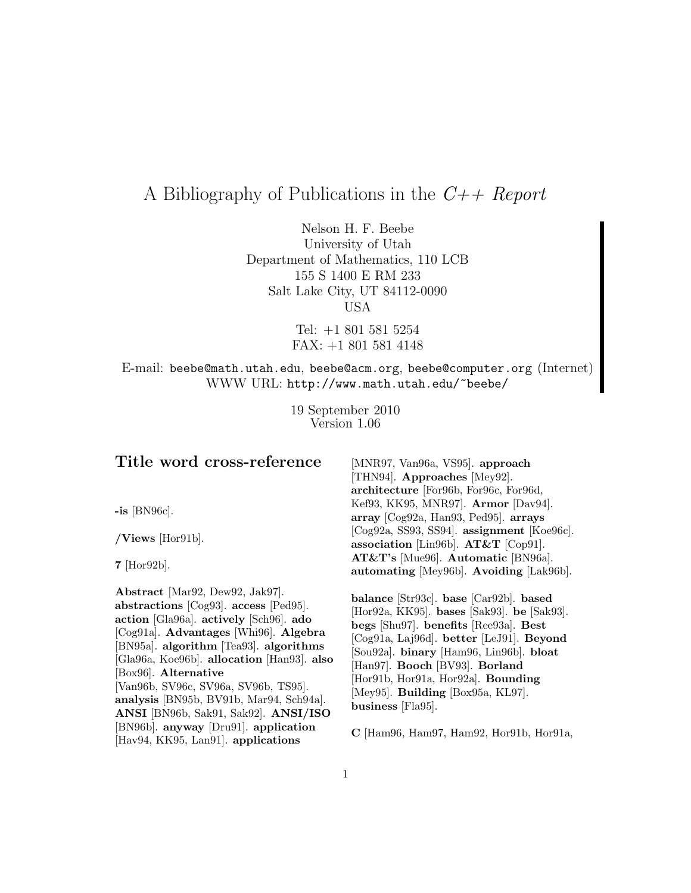# A Bibliography of Publications in the  $C++$  Report

Nelson H. F. Beebe University of Utah Department of Mathematics, 110 LCB 155 S 1400 E RM 233 Salt Lake City, UT 84112-0090 USA

> Tel: +1 801 581 5254 FAX: +1 801 581 4148

# E-mail: beebe@math.utah.edu, beebe@acm.org, beebe@computer.org (Internet) WWW URL: http://www.math.utah.edu/~beebe/

19 September 2010 Version 1.06

# **Title word cross-reference**

**-is** [BN96c].

**/Views** [Hor91b].

**7** [Hor92b].

**Abstract** [Mar92, Dew92, Jak97]. **abstractions** [Cog93]. **access** [Ped95]. **action** [Gla96a]. **actively** [Sch96]. **ado** [Cog91a]. **Advantages** [Whi96]. **Algebra** [BN95a]. **algorithm** [Tea93]. **algorithms** [Gla96a, Koe96b]. **allocation** [Han93]. **also** [Box96]. **Alternative** [Van96b, SV96c, SV96a, SV96b, TS95]. **analysis** [BN95b, BV91b, Mar94, Sch94a]. **ANSI** [BN96b, Sak91, Sak92]. **ANSI/ISO** [BN96b]. **anyway** [Dru91]. **application** [Hav94, KK95, Lan91]. **applications**

[MNR97, Van96a, VS95]. **approach** [THN94]. **Approaches** [Mey92]. **architecture** [For96b, For96c, For96d, Kef93, KK95, MNR97]. **Armor** [Dav94]. **array** [Cog92a, Han93, Ped95]. **arrays** [Cog92a, SS93, SS94]. **assignment** [Koe96c]. **association** [Lin96b]. **AT&T** [Cop91]. **AT&T's** [Mue96]. **Automatic** [BN96a]. **automating** [Mey96b]. **Avoiding** [Lak96b].

**balance** [Str93c]. **base** [Car92b]. **based** [Hor92a, KK95]. **bases** [Sak93]. **be** [Sak93]. **begs** [Shu97]. **benefits** [Ree93a]. **Best** [Cog91a, Laj96d]. **better** [LeJ91]. **Beyond** [Sou92a]. **binary** [Ham96, Lin96b]. **bloat** [Han97]. **Booch** [BV93]. **Borland** [Hor91b, Hor91a, Hor92a]. **Bounding** [Mey95]. **Building** [Box95a, KL97]. **business** [Fla95].

**C** [Ham96, Ham97, Ham92, Hor91b, Hor91a,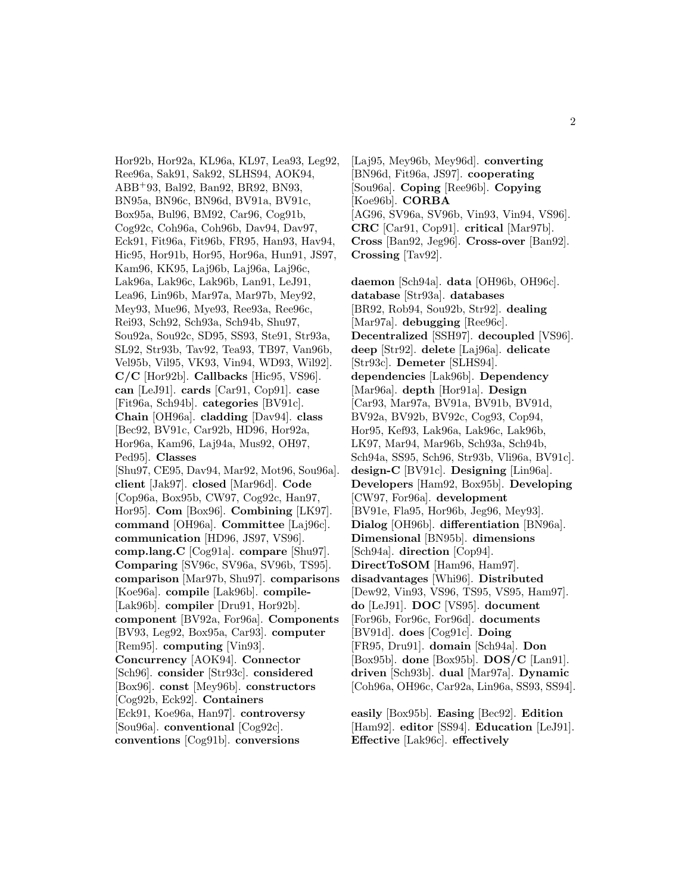Hor92b, Hor92a, KL96a, KL97, Lea93, Leg92, Ree96a, Sak91, Sak92, SLHS94, AOK94, ABB<sup>+</sup>93, Bal92, Ban92, BR92, BN93, BN95a, BN96c, BN96d, BV91a, BV91c, Box95a, Bul96, BM92, Car96, Cog91b, Cog92c, Coh96a, Coh96b, Dav94, Dav97, Eck91, Fit96a, Fit96b, FR95, Han93, Hav94, Hic95, Hor91b, Hor95, Hor96a, Hun91, JS97, Kam96, KK95, Laj96b, Laj96a, Laj96c, Lak96a, Lak96c, Lak96b, Lan91, LeJ91, Lea96, Lin96b, Mar97a, Mar97b, Mey92, Mey93, Mue96, Mye93, Ree93a, Ree96c, Rei93, Sch92, Sch93a, Sch94b, Shu97, Sou92a, Sou92c, SD95, SS93, Ste91, Str93a, SL92, Str93b, Tav92, Tea93, TB97, Van96b, Vel95b, Vil95, VK93, Vin94, WD93, Wil92]. **C/C** [Hor92b]. **Callbacks** [Hic95, VS96]. **can** [LeJ91]. **cards** [Car91, Cop91]. **case** [Fit96a, Sch94b]. **categories** [BV91c]. **Chain** [OH96a]. **cladding** [Dav94]. **class** [Bec92, BV91c, Car92b, HD96, Hor92a, Hor96a, Kam96, Laj94a, Mus92, OH97, Ped95]. **Classes** [Shu97, CE95, Dav94, Mar92, Mot96, Sou96a]. **client** [Jak97]. **closed** [Mar96d]. **Code** [Cop96a, Box95b, CW97, Cog92c, Han97, Hor95]. **Com** [Box96]. **Combining** [LK97]. **command** [OH96a]. **Committee** [Laj96c]. **communication** [HD96, JS97, VS96]. **comp.lang.C** [Cog91a]. **compare** [Shu97]. **Comparing** [SV96c, SV96a, SV96b, TS95]. **comparison** [Mar97b, Shu97]. **comparisons** [Koe96a]. **compile** [Lak96b]. **compile-** [Lak96b]. **compiler** [Dru91, Hor92b]. **component** [BV92a, For96a]. **Components** [BV93, Leg92, Box95a, Car93]. **computer** [Rem95]. **computing** [Vin93]. **Concurrency** [AOK94]. **Connector** [Sch96]. **consider** [Str93c]. **considered** [Box96]. **const** [Mey96b]. **constructors** [Cog92b, Eck92]. **Containers** [Eck91, Koe96a, Han97]. **controversy** [Sou96a]. **conventional** [Cog92c]. **conventions** [Cog91b]. **conversions**

[Laj95, Mey96b, Mey96d]. **converting** [BN96d, Fit96a, JS97]. **cooperating** [Sou96a]. **Coping** [Ree96b]. **Copying** [Koe96b]. **CORBA** [AG96, SV96a, SV96b, Vin93, Vin94, VS96]. **CRC** [Car91, Cop91]. **critical** [Mar97b]. **Cross** [Ban92, Jeg96]. **Cross-over** [Ban92]. **Crossing** [Tav92].

**daemon** [Sch94a]. **data** [OH96b, OH96c]. **database** [Str93a]. **databases** [BR92, Rob94, Sou92b, Str92]. **dealing** [Mar97a]. **debugging** [Ree96c]. **Decentralized** [SSH97]. **decoupled** [VS96]. **deep** [Str92]. **delete** [Laj96a]. **delicate** [Str93c]. **Demeter** [SLHS94]. **dependencies** [Lak96b]. **Dependency** [Mar96a]. **depth** [Hor91a]. **Design** [Car93, Mar97a, BV91a, BV91b, BV91d, BV92a, BV92b, BV92c, Cog93, Cop94, Hor95, Kef93, Lak96a, Lak96c, Lak96b, LK97, Mar94, Mar96b, Sch93a, Sch94b, Sch94a, SS95, Sch96, Str93b, Vli96a, BV91c]. **design-C** [BV91c]. **Designing** [Lin96a]. **Developers** [Ham92, Box95b]. **Developing** [CW97, For96a]. **development** [BV91e, Fla95, Hor96b, Jeg96, Mey93]. **Dialog** [OH96b]. **differentiation** [BN96a]. **Dimensional** [BN95b]. **dimensions** [Sch94a]. **direction** [Cop94]. **DirectToSOM** [Ham96, Ham97]. **disadvantages** [Whi96]. **Distributed** [Dew92, Vin93, VS96, TS95, VS95, Ham97]. **do** [LeJ91]. **DOC** [VS95]. **document** [For96b, For96c, For96d]. **documents** [BV91d]. **does** [Cog91c]. **Doing** [FR95, Dru91]. **domain** [Sch94a]. **Don** [Box95b]. **done** [Box95b]. **DOS/C** [Lan91]. **driven** [Sch93b]. **dual** [Mar97a]. **Dynamic** [Coh96a, OH96c, Car92a, Lin96a, SS93, SS94].

**easily** [Box95b]. **Easing** [Bec92]. **Edition** [Ham92]. **editor** [SS94]. **Education** [LeJ91]. **Effective** [Lak96c]. **effectively**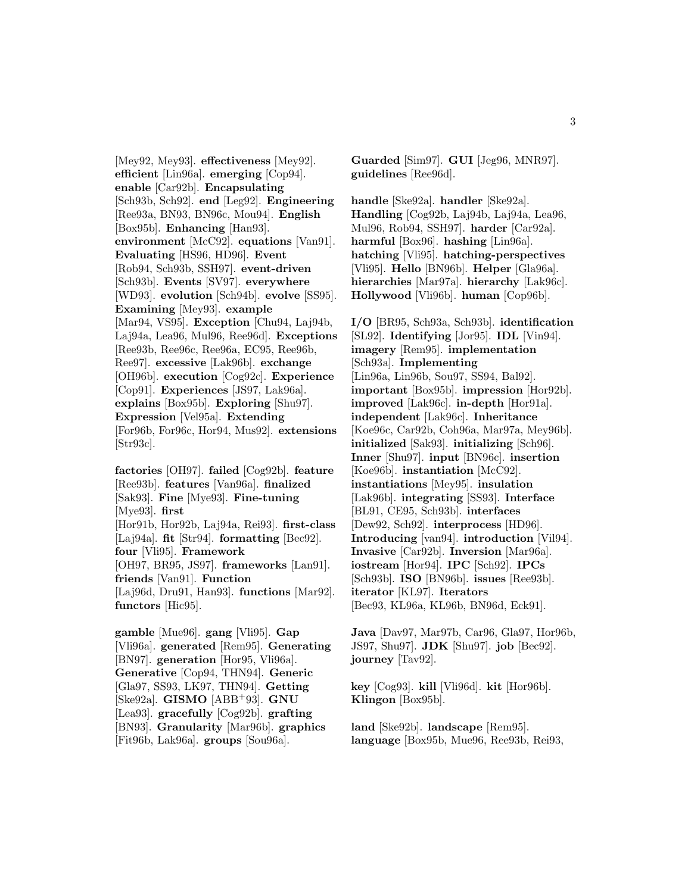[Mey92, Mey93]. **effectiveness** [Mey92]. **efficient** [Lin96a]. **emerging** [Cop94]. **enable** [Car92b]. **Encapsulating** [Sch93b, Sch92]. **end** [Leg92]. **Engineering** [Ree93a, BN93, BN96c, Mou94]. **English** [Box95b]. **Enhancing** [Han93]. **environment** [McC92]. **equations** [Van91]. **Evaluating** [HS96, HD96]. **Event** [Rob94, Sch93b, SSH97]. **event-driven** [Sch93b]. **Events** [SV97]. **everywhere** [WD93]. **evolution** [Sch94b]. **evolve** [SS95]. **Examining** [Mey93]. **example** [Mar94, VS95]. **Exception** [Chu94, Laj94b, Laj94a, Lea96, Mul96, Ree96d]. **Exceptions** [Ree93b, Ree96c, Ree96a, EC95, Ree96b, Ree97]. **excessive** [Lak96b]. **exchange** [OH96b]. **execution** [Cog92c]. **Experience** [Cop91]. **Experiences** [JS97, Lak96a]. **explains** [Box95b]. **Exploring** [Shu97]. **Expression** [Vel95a]. **Extending** [For96b, For96c, Hor94, Mus92]. **extensions** [Str93c].

**factories** [OH97]. **failed** [Cog92b]. **feature** [Ree93b]. **features** [Van96a]. **finalized** [Sak93]. **Fine** [Mye93]. **Fine-tuning** [Mye93]. **first** [Hor91b, Hor92b, Laj94a, Rei93]. **first-class** [Laj94a]. **fit** [Str94]. **formatting** [Bec92]. **four** [Vli95]. **Framework** [OH97, BR95, JS97]. **frameworks** [Lan91]. **friends** [Van91]. **Function** [Laj96d, Dru91, Han93]. **functions** [Mar92]. **functors** [Hic95].

**gamble** [Mue96]. **gang** [Vli95]. **Gap** [Vli96a]. **generated** [Rem95]. **Generating** [BN97]. **generation** [Hor95, Vli96a]. **Generative** [Cop94, THN94]. **Generic** [Gla97, SS93, LK97, THN94]. **Getting** [Ske92a]. **GISMO** [ABB<sup>+</sup>93]. **GNU** [Lea93]. **gracefully** [Cog92b]. **grafting** [BN93]. **Granularity** [Mar96b]. **graphics** [Fit96b, Lak96a]. **groups** [Sou96a].

**Guarded** [Sim97]. **GUI** [Jeg96, MNR97]. **guidelines** [Ree96d].

**handle** [Ske92a]. **handler** [Ske92a]. **Handling** [Cog92b, Laj94b, Laj94a, Lea96, Mul96, Rob94, SSH97]. **harder** [Car92a]. **harmful** [Box96]. **hashing** [Lin96a]. **hatching** [Vli95]. **hatching-perspectives** [Vli95]. **Hello** [BN96b]. **Helper** [Gla96a]. **hierarchies** [Mar97a]. **hierarchy** [Lak96c]. **Hollywood** [Vli96b]. **human** [Cop96b].

**I/O** [BR95, Sch93a, Sch93b]. **identification** [SL92]. **Identifying** [Jor95]. **IDL** [Vin94]. **imagery** [Rem95]. **implementation** [Sch93a]. **Implementing** [Lin96a, Lin96b, Sou97, SS94, Bal92]. **important** [Box95b]. **impression** [Hor92b]. **improved** [Lak96c]. **in-depth** [Hor91a]. **independent** [Lak96c]. **Inheritance** [Koe96c, Car92b, Coh96a, Mar97a, Mey96b]. **initialized** [Sak93]. **initializing** [Sch96]. **Inner** [Shu97]. **input** [BN96c]. **insertion** [Koe96b]. **instantiation** [McC92]. **instantiations** [Mey95]. **insulation** [Lak96b]. **integrating** [SS93]. **Interface** [BL91, CE95, Sch93b]. **interfaces** [Dew92, Sch92]. **interprocess** [HD96]. **Introducing** [van94]. **introduction** [Vil94]. **Invasive** [Car92b]. **Inversion** [Mar96a]. **iostream** [Hor94]. **IPC** [Sch92]. **IPCs** [Sch93b]. **ISO** [BN96b]. **issues** [Ree93b]. **iterator** [KL97]. **Iterators** [Bec93, KL96a, KL96b, BN96d, Eck91].

**Java** [Dav97, Mar97b, Car96, Gla97, Hor96b, JS97, Shu97]. **JDK** [Shu97]. **job** [Bec92]. **journey** [Tav92].

**key** [Cog93]. **kill** [Vli96d]. **kit** [Hor96b]. **Klingon** [Box95b].

**land** [Ske92b]. **landscape** [Rem95]. **language** [Box95b, Mue96, Ree93b, Rei93,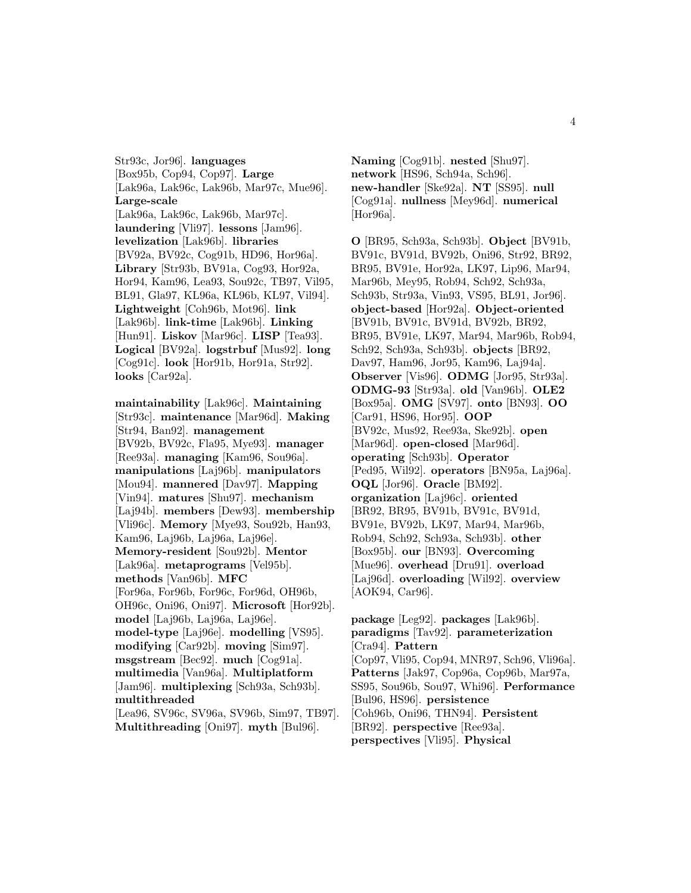Str93c, Jor96]. **languages** [Box95b, Cop94, Cop97]. **Large** [Lak96a, Lak96c, Lak96b, Mar97c, Mue96]. **Large-scale** [Lak96a, Lak96c, Lak96b, Mar97c]. **laundering** [Vli97]. **lessons** [Jam96]. **levelization** [Lak96b]. **libraries** [BV92a, BV92c, Cog91b, HD96, Hor96a]. **Library** [Str93b, BV91a, Cog93, Hor92a, Hor94, Kam96, Lea93, Sou92c, TB97, Vil95, BL91, Gla97, KL96a, KL96b, KL97, Vil94]. **Lightweight** [Coh96b, Mot96]. **link** [Lak96b]. **link-time** [Lak96b]. **Linking** [Hun91]. **Liskov** [Mar96c]. **LISP** [Tea93]. **Logical** [BV92a]. **logstrbuf** [Mus92]. **long** [Cog91c]. **look** [Hor91b, Hor91a, Str92]. **looks** [Car92a].

**maintainability** [Lak96c]. **Maintaining** [Str93c]. **maintenance** [Mar96d]. **Making** [Str94, Ban92]. **management** [BV92b, BV92c, Fla95, Mye93]. **manager** [Ree93a]. **managing** [Kam96, Sou96a]. **manipulations** [Laj96b]. **manipulators** [Mou94]. **mannered** [Dav97]. **Mapping** [Vin94]. **matures** [Shu97]. **mechanism** [Laj94b]. **members** [Dew93]. **membership** [Vli96c]. **Memory** [Mye93, Sou92b, Han93, Kam96, Laj96b, Laj96a, Laj96e]. **Memory-resident** [Sou92b]. **Mentor** [Lak96a]. **metaprograms** [Vel95b]. **methods** [Van96b]. **MFC** [For96a, For96b, For96c, For96d, OH96b, OH96c, Oni96, Oni97]. **Microsoft** [Hor92b]. **model** [Laj96b, Laj96a, Laj96e]. **model-type** [Laj96e]. **modelling** [VS95]. **modifying** [Car92b]. **moving** [Sim97]. **msgstream** [Bec92]. **much** [Cog91a]. **multimedia** [Van96a]. **Multiplatform** [Jam96]. **multiplexing** [Sch93a, Sch93b]. **multithreaded** [Lea96, SV96c, SV96a, SV96b, Sim97, TB97].

**Multithreading** [Oni97]. **myth** [Bul96].

**Naming** [Cog91b]. **nested** [Shu97]. **network** [HS96, Sch94a, Sch96]. **new-handler** [Ske92a]. **NT** [SS95]. **null** [Cog91a]. **nullness** [Mey96d]. **numerical** [Hor96a].

**O** [BR95, Sch93a, Sch93b]. **Object** [BV91b, BV91c, BV91d, BV92b, Oni96, Str92, BR92, BR95, BV91e, Hor92a, LK97, Lip96, Mar94, Mar96b, Mey95, Rob94, Sch92, Sch93a, Sch93b, Str93a, Vin93, VS95, BL91, Jor96]. **object-based** [Hor92a]. **Object-oriented** [BV91b, BV91c, BV91d, BV92b, BR92, BR95, BV91e, LK97, Mar94, Mar96b, Rob94, Sch92, Sch93a, Sch93b]. **objects** [BR92, Dav97, Ham96, Jor95, Kam96, Laj94a]. **Observer** [Vis96]. **ODMG** [Jor95, Str93a]. **ODMG-93** [Str93a]. **old** [Van96b]. **OLE2** [Box95a]. **OMG** [SV97]. **onto** [BN93]. **OO** [Car91, HS96, Hor95]. **OOP** [BV92c, Mus92, Ree93a, Ske92b]. **open** [Mar96d]. **open-closed** [Mar96d]. **operating** [Sch93b]. **Operator** [Ped95, Wil92]. **operators** [BN95a, Laj96a]. **OQL** [Jor96]. **Oracle** [BM92]. **organization** [Laj96c]. **oriented** [BR92, BR95, BV91b, BV91c, BV91d, BV91e, BV92b, LK97, Mar94, Mar96b, Rob94, Sch92, Sch93a, Sch93b]. **other** [Box95b]. **our** [BN93]. **Overcoming** [Mue96]. **overhead** [Dru91]. **overload** [Laj96d]. **overloading** [Wil92]. **overview** [AOK94, Car96].

**package** [Leg92]. **packages** [Lak96b]. **paradigms** [Tav92]. **parameterization** [Cra94]. **Pattern** [Cop97, Vli95, Cop94, MNR97, Sch96, Vli96a]. **Patterns** [Jak97, Cop96a, Cop96b, Mar97a, SS95, Sou96b, Sou97, Whi96]. **Performance** [Bul96, HS96]. **persistence** [Coh96b, Oni96, THN94]. **Persistent** [BR92]. **perspective** [Ree93a]. **perspectives** [Vli95]. **Physical**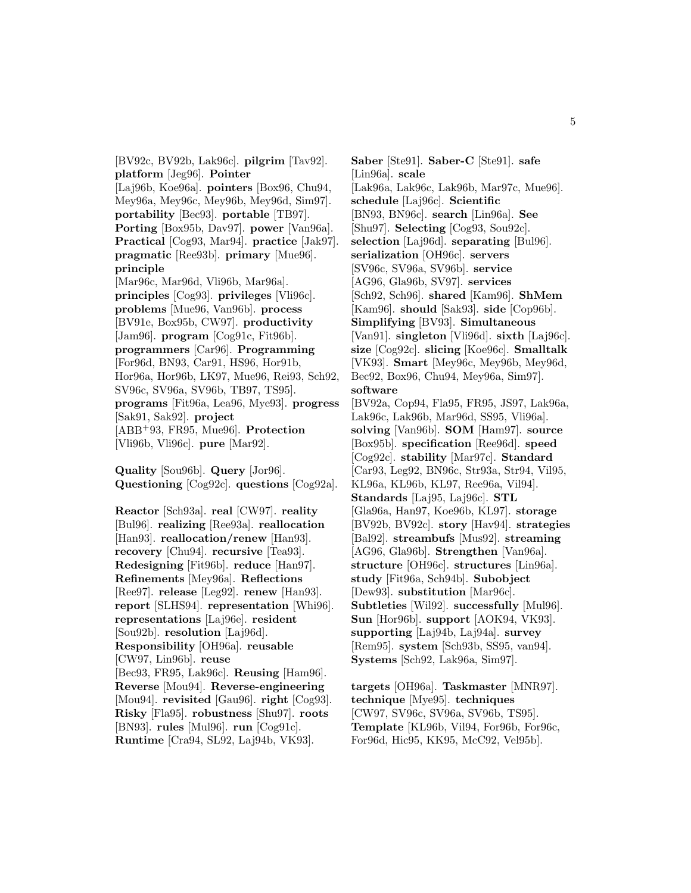[BV92c, BV92b, Lak96c]. **pilgrim** [Tav92]. **platform** [Jeg96]. **Pointer** [Laj96b, Koe96a]. **pointers** [Box96, Chu94, Mey96a, Mey96c, Mey96b, Mey96d, Sim97]. **portability** [Bec93]. **portable** [TB97]. **Porting** [Box95b, Dav97]. **power** [Van96a]. **Practical** [Cog93, Mar94]. **practice** [Jak97]. **pragmatic** [Ree93b]. **primary** [Mue96]. **principle** [Mar96c, Mar96d, Vli96b, Mar96a]. **principles** [Cog93]. **privileges** [Vli96c]. **problems** [Mue96, Van96b]. **process** [BV91e, Box95b, CW97]. **productivity** [Jam96]. **program** [Cog91c, Fit96b]. **programmers** [Car96]. **Programming** [For96d, BN93, Car91, HS96, Hor91b, Hor96a, Hor96b, LK97, Mue96, Rei93, Sch92, SV96c, SV96a, SV96b, TB97, TS95]. **programs** [Fit96a, Lea96, Mye93]. **progress** [Sak91, Sak92]. **project** [ABB<sup>+</sup>93, FR95, Mue96]. **Protection** [Vli96b, Vli96c]. **pure** [Mar92].

**Quality** [Sou96b]. **Query** [Jor96]. **Questioning** [Cog92c]. **questions** [Cog92a].

**Reactor** [Sch93a]. **real** [CW97]. **reality** [Bul96]. **realizing** [Ree93a]. **reallocation** [Han93]. **reallocation/renew** [Han93]. **recovery** [Chu94]. **recursive** [Tea93]. **Redesigning** [Fit96b]. **reduce** [Han97]. **Refinements** [Mey96a]. **Reflections** [Ree97]. **release** [Leg92]. **renew** [Han93]. **report** [SLHS94]. **representation** [Whi96]. **representations** [Laj96e]. **resident** [Sou92b]. **resolution** [Laj96d]. **Responsibility** [OH96a]. **reusable** [CW97, Lin96b]. **reuse** [Bec93, FR95, Lak96c]. **Reusing** [Ham96]. **Reverse** [Mou94]. **Reverse-engineering** [Mou94]. **revisited** [Gau96]. **right** [Cog93]. **Risky** [Fla95]. **robustness** [Shu97]. **roots** [BN93]. **rules** [Mul96]. **run** [Cog91c]. **Runtime** [Cra94, SL92, Laj94b, VK93].

**Saber** [Ste91]. **Saber-C** [Ste91]. **safe** [Lin96a]. **scale** [Lak96a, Lak96c, Lak96b, Mar97c, Mue96]. **schedule** [Laj96c]. **Scientific** [BN93, BN96c]. **search** [Lin96a]. **See** [Shu97]. **Selecting** [Cog93, Sou92c]. **selection** [Laj96d]. **separating** [Bul96]. **serialization** [OH96c]. **servers** [SV96c, SV96a, SV96b]. **service** [AG96, Gla96b, SV97]. **services** [Sch92, Sch96]. **shared** [Kam96]. **ShMem** [Kam96]. **should** [Sak93]. **side** [Cop96b]. **Simplifying** [BV93]. **Simultaneous** [Van91]. **singleton** [Vli96d]. **sixth** [Laj96c]. **size** [Cog92c]. **slicing** [Koe96c]. **Smalltalk** [VK93]. **Smart** [Mey96c, Mey96b, Mey96d, Bec92, Box96, Chu94, Mey96a, Sim97]. **software** [BV92a, Cop94, Fla95, FR95, JS97, Lak96a, Lak96c, Lak96b, Mar96d, SS95, Vli96a]. **solving** [Van96b]. **SOM** [Ham97]. **source** [Box95b]. **specification** [Ree96d]. **speed** [Cog92c]. **stability** [Mar97c]. **Standard** [Car93, Leg92, BN96c, Str93a, Str94, Vil95, KL96a, KL96b, KL97, Ree96a, Vil94]. **Standards** [Laj95, Laj96c]. **STL** [Gla96a, Han97, Koe96b, KL97]. **storage** [BV92b, BV92c]. **story** [Hav94]. **strategies** [Bal92]. **streambufs** [Mus92]. **streaming** [AG96, Gla96b]. **Strengthen** [Van96a]. **structure** [OH96c]. **structures** [Lin96a]. **study** [Fit96a, Sch94b]. **Subobject** [Dew93]. **substitution** [Mar96c]. **Subtleties** [Wil92]. **successfully** [Mul96]. **Sun** [Hor96b]. **support** [AOK94, VK93]. **supporting** [Laj94b, Laj94a]. **survey** [Rem95]. **system** [Sch93b, SS95, van94]. **Systems** [Sch92, Lak96a, Sim97].

**targets** [OH96a]. **Taskmaster** [MNR97]. **technique** [Mye95]. **techniques** [CW97, SV96c, SV96a, SV96b, TS95]. **Template** [KL96b, Vil94, For96b, For96c, For96d, Hic95, KK95, McC92, Vel95b].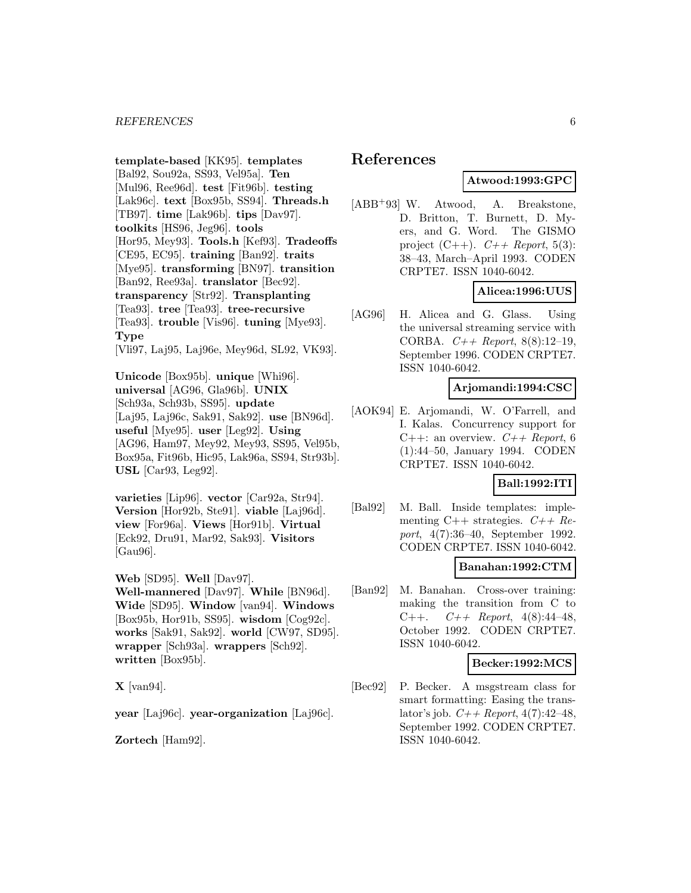**template-based** [KK95]. **templates** [Bal92, Sou92a, SS93, Vel95a]. **Ten** [Mul96, Ree96d]. **test** [Fit96b]. **testing** [Lak96c]. **text** [Box95b, SS94]. **Threads.h** [TB97]. **time** [Lak96b]. **tips** [Dav97]. **toolkits** [HS96, Jeg96]. **tools** [Hor95, Mey93]. **Tools.h** [Kef93]. **Tradeoffs** [CE95, EC95]. **training** [Ban92]. **traits** [Mye95]. **transforming** [BN97]. **transition** [Ban92, Ree93a]. **translator** [Bec92]. **transparency** [Str92]. **Transplanting** [Tea93]. **tree** [Tea93]. **tree-recursive** [Tea93]. **trouble** [Vis96]. **tuning** [Mye93]. **Type**

[Vli97, Laj95, Laj96e, Mey96d, SL92, VK93].

**Unicode** [Box95b]. **unique** [Whi96]. **universal** [AG96, Gla96b]. **UNIX** [Sch93a, Sch93b, SS95]. **update** [Laj95, Laj96c, Sak91, Sak92]. **use** [BN96d]. **useful** [Mye95]. **user** [Leg92]. **Using** [AG96, Ham97, Mey92, Mey93, SS95, Vel95b, Box95a, Fit96b, Hic95, Lak96a, SS94, Str93b]. **USL** [Car93, Leg92].

**varieties** [Lip96]. **vector** [Car92a, Str94]. **Version** [Hor92b, Ste91]. **viable** [Laj96d]. **view** [For96a]. **Views** [Hor91b]. **Virtual** [Eck92, Dru91, Mar92, Sak93]. **Visitors** [Gau96].

**Web** [SD95]. **Well** [Dav97].

**Well-mannered** [Dav97]. **While** [BN96d]. **Wide** [SD95]. **Window** [van94]. **Windows** [Box95b, Hor91b, SS95]. **wisdom** [Cog92c]. **works** [Sak91, Sak92]. **world** [CW97, SD95]. **wrapper** [Sch93a]. **wrappers** [Sch92]. **written** [Box95b].

**X** [van94].

**year** [Laj96c]. **year-organization** [Laj96c].

**Zortech** [Ham92].

# **References**

# **Atwood:1993:GPC**

[ABB<sup>+</sup>93] W. Atwood, A. Breakstone, D. Britton, T. Burnett, D. Myers, and G. Word. The GISMO project  $(C++)$ .  $C++$  Report, 5(3): 38–43, March–April 1993. CODEN CRPTE7. ISSN 1040-6042.

# **Alicea:1996:UUS**

[AG96] H. Alicea and G. Glass. Using the universal streaming service with CORBA.  $C++$  Report, 8(8):12-19, September 1996. CODEN CRPTE7. ISSN 1040-6042.

#### **Arjomandi:1994:CSC**

[AOK94] E. Arjomandi, W. O'Farrell, and I. Kalas. Concurrency support for C++: an overview.  $C++$  Report, 6 (1):44–50, January 1994. CODEN CRPTE7. ISSN 1040-6042.

#### **Ball:1992:ITI**

[Bal92] M. Ball. Inside templates: implementing C++ strategies.  $C++$  Report, 4(7):36–40, September 1992. CODEN CRPTE7. ISSN 1040-6042.

#### **Banahan:1992:CTM**

[Ban92] M. Banahan. Cross-over training: making the transition from C to C++.  $C++$  Report, 4(8):44-48, October 1992. CODEN CRPTE7. ISSN 1040-6042.

#### **Becker:1992:MCS**

[Bec92] P. Becker. A msgstream class for smart formatting: Easing the translator's job.  $C++$  Report, 4(7):42-48, September 1992. CODEN CRPTE7. ISSN 1040-6042.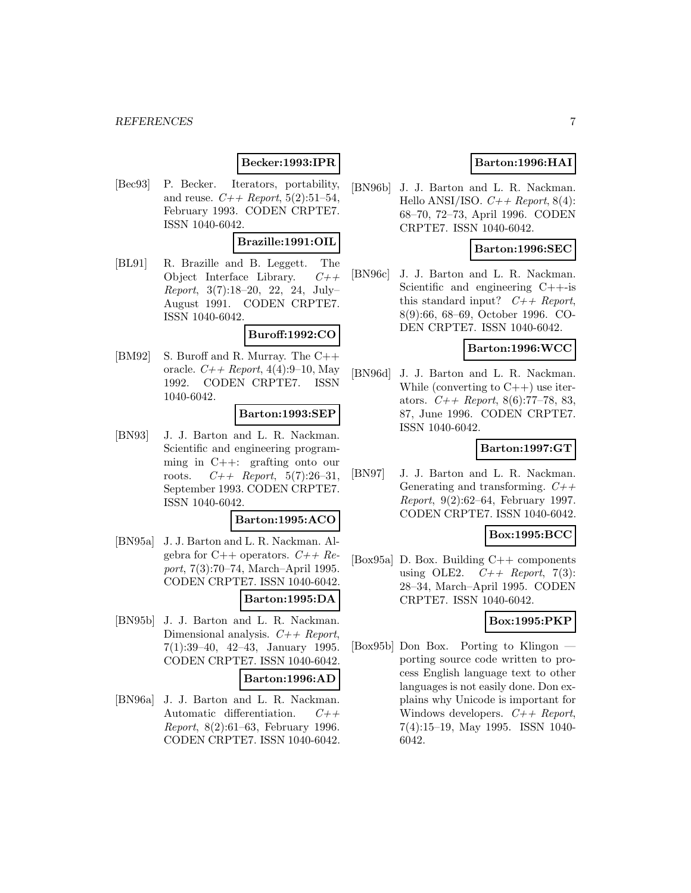# **Becker:1993:IPR**

[Bec93] P. Becker. Iterators, portability, and reuse.  $C_{++}$  Report, 5(2):51-54, February 1993. CODEN CRPTE7. ISSN 1040-6042.

# **Brazille:1991:OIL**

[BL91] R. Brazille and B. Leggett. The Object Interface Library.  $C++$ Report, 3(7):18–20, 22, 24, July– August 1991. CODEN CRPTE7. ISSN 1040-6042.

#### **Buroff:1992:CO**

[BM92] S. Buroff and R. Murray. The C++ oracle.  $C_{+}$  Report, 4(4):9–10, May 1992. CODEN CRPTE7. ISSN 1040-6042.

#### **Barton:1993:SEP**

[BN93] J. J. Barton and L. R. Nackman. Scientific and engineering programming in C++: grafting onto our roots.  $C++$  Report, 5(7):26-31, September 1993. CODEN CRPTE7. ISSN 1040-6042.

#### **Barton:1995:ACO**

[BN95a] J. J. Barton and L. R. Nackman. Algebra for  $C++$  operators.  $C++$   $Re$ port, 7(3):70–74, March–April 1995. CODEN CRPTE7. ISSN 1040-6042.

### **Barton:1995:DA**

[BN95b] J. J. Barton and L. R. Nackman. Dimensional analysis.  $C++$  Report, 7(1):39–40, 42–43, January 1995. CODEN CRPTE7. ISSN 1040-6042.

#### **Barton:1996:AD**

[BN96a] J. J. Barton and L. R. Nackman. Automatic differentiation.  $C++$ Report, 8(2):61–63, February 1996. CODEN CRPTE7. ISSN 1040-6042.

# **Barton:1996:HAI**

[BN96b] J. J. Barton and L. R. Nackman. Hello ANSI/ISO.  $C++$  Report, 8(4): 68–70, 72–73, April 1996. CODEN CRPTE7. ISSN 1040-6042.

### **Barton:1996:SEC**

[BN96c] J. J. Barton and L. R. Nackman. Scientific and engineering C++-is this standard input?  $C++$  Report, 8(9):66, 68–69, October 1996. CO-DEN CRPTE7. ISSN 1040-6042.

#### **Barton:1996:WCC**

[BN96d] J. J. Barton and L. R. Nackman. While (converting to  $C++$ ) use iterators.  $C_{++}$  Report, 8(6):77-78, 83, 87, June 1996. CODEN CRPTE7. ISSN 1040-6042.

### **Barton:1997:GT**

[BN97] J. J. Barton and L. R. Nackman. Generating and transforming.  $C++$ Report, 9(2):62–64, February 1997. CODEN CRPTE7. ISSN 1040-6042.

#### **Box:1995:BCC**

[Box95a] D. Box. Building C++ components using OLE2.  $C++$  Report, 7(3): 28–34, March–April 1995. CODEN CRPTE7. ISSN 1040-6042.

### **Box:1995:PKP**

[Box95b] Don Box. Porting to Klingon porting source code written to process English language text to other languages is not easily done. Don explains why Unicode is important for Windows developers.  $C++$  Report, 7(4):15–19, May 1995. ISSN 1040- 6042.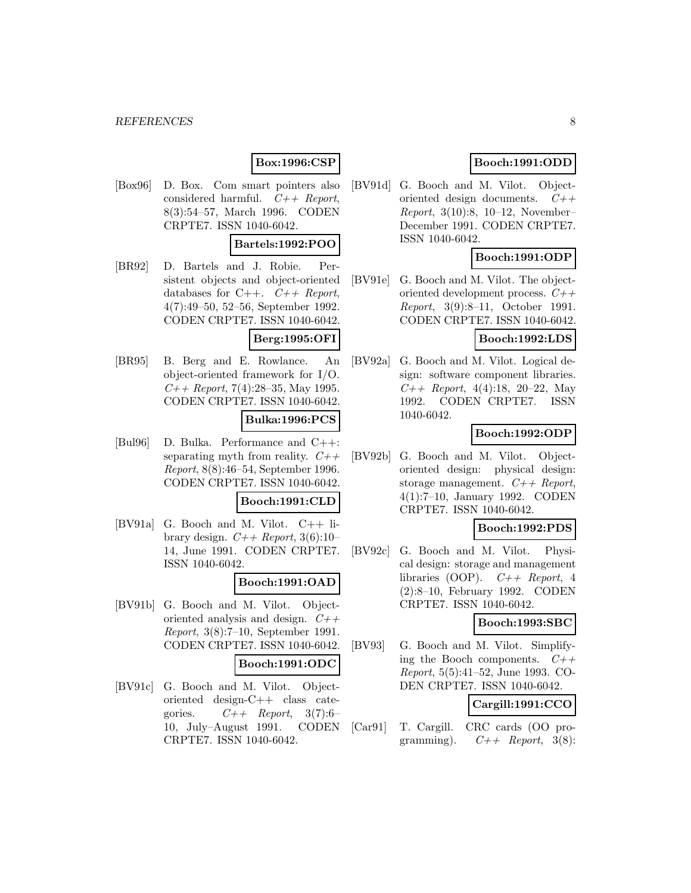# **Box:1996:CSP**

[Box96] D. Box. Com smart pointers also considered harmful.  $C++$  Report, 8(3):54–57, March 1996. CODEN CRPTE7. ISSN 1040-6042.

## **Bartels:1992:POO**

[BR92] D. Bartels and J. Robie. Persistent objects and object-oriented databases for C++.  $C++$  Report, 4(7):49–50, 52–56, September 1992. CODEN CRPTE7. ISSN 1040-6042.

### **Berg:1995:OFI**

[BR95] B. Berg and E. Rowlance. An object-oriented framework for I/O.  $C++$  Report, 7(4):28–35, May 1995. CODEN CRPTE7. ISSN 1040-6042.

#### **Bulka:1996:PCS**

[Bul96] D. Bulka. Performance and C++: separating myth from reality.  $C++$ Report, 8(8):46–54, September 1996. CODEN CRPTE7. ISSN 1040-6042.

### **Booch:1991:CLD**

[BV91a] G. Booch and M. Vilot. C++ library design.  $C++$  Report, 3(6):10-14, June 1991. CODEN CRPTE7. ISSN 1040-6042.

#### **Booch:1991:OAD**

[BV91b] G. Booch and M. Vilot. Objectoriented analysis and design.  $C++$ Report, 3(8):7–10, September 1991. CODEN CRPTE7. ISSN 1040-6042.

#### **Booch:1991:ODC**

[BV91c] G. Booch and M. Vilot. Objectoriented design-C++ class categories.  $C++$  Report, 3(7):6-10, July–August 1991. CODEN CRPTE7. ISSN 1040-6042.

# **Booch:1991:ODD**

[BV91d] G. Booch and M. Vilot. Objectoriented design documents. C++ Report, 3(10):8, 10–12, November– December 1991. CODEN CRPTE7. ISSN 1040-6042.

# **Booch:1991:ODP**

[BV91e] G. Booch and M. Vilot. The objectoriented development process. C++ Report, 3(9):8–11, October 1991. CODEN CRPTE7. ISSN 1040-6042.

### **Booch:1992:LDS**

[BV92a] G. Booch and M. Vilot. Logical design: software component libraries.  $C++$  Report, 4(4):18, 20–22, May 1992. CODEN CRPTE7. ISSN 1040-6042.

### **Booch:1992:ODP**

[BV92b] G. Booch and M. Vilot. Objectoriented design: physical design: storage management.  $C++$  Report, 4(1):7–10, January 1992. CODEN CRPTE7. ISSN 1040-6042.

# **Booch:1992:PDS**

[BV92c] G. Booch and M. Vilot. Physical design: storage and management libraries (OOP).  $C++$  Report, 4 (2):8–10, February 1992. CODEN CRPTE7. ISSN 1040-6042.

#### **Booch:1993:SBC**

[BV93] G. Booch and M. Vilot. Simplifying the Booch components.  $C++$ Report, 5(5):41–52, June 1993. CO-DEN CRPTE7. ISSN 1040-6042.

# **Cargill:1991:CCO**

[Car91] T. Cargill. CRC cards (OO programming).  $C++$  Report, 3(8):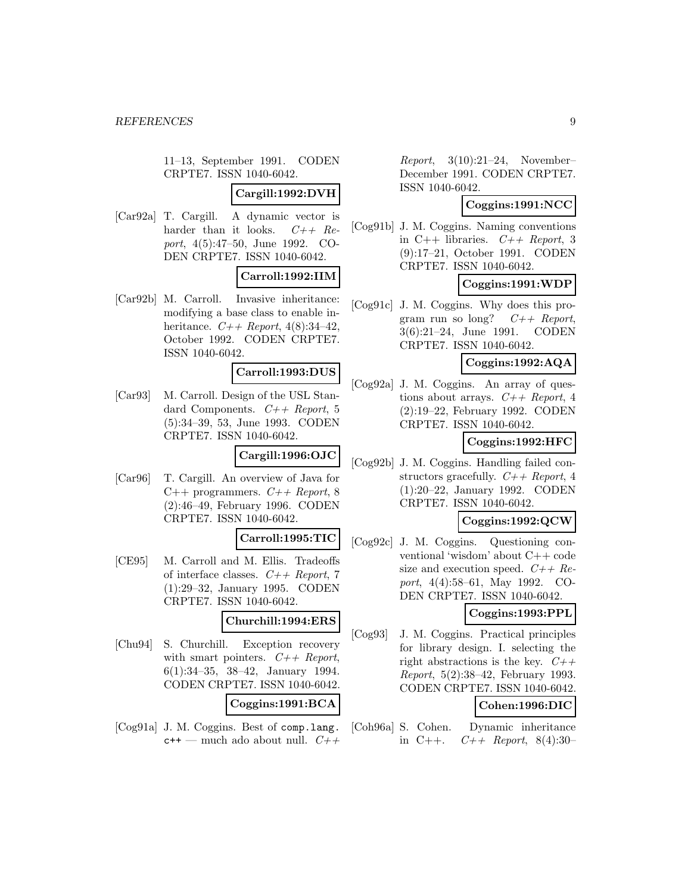11–13, September 1991. CODEN CRPTE7. ISSN 1040-6042.

### **Cargill:1992:DVH**

[Car92a] T. Cargill. A dynamic vector is harder than it looks.  $C++$   $Re$ port, 4(5):47–50, June 1992. CO-DEN CRPTE7. ISSN 1040-6042.

### **Carroll:1992:IIM**

[Car92b] M. Carroll. Invasive inheritance: modifying a base class to enable inheritance.  $C_{+}$  Report, 4(8):34-42. October 1992. CODEN CRPTE7. ISSN 1040-6042.

#### **Carroll:1993:DUS**

[Car93] M. Carroll. Design of the USL Standard Components.  $C++$  Report, 5 (5):34–39, 53, June 1993. CODEN CRPTE7. ISSN 1040-6042.

# **Cargill:1996:OJC**

[Car96] T. Cargill. An overview of Java for C++ programmers.  $C++$  Report, 8 (2):46–49, February 1996. CODEN CRPTE7. ISSN 1040-6042.

#### **Carroll:1995:TIC**

[CE95] M. Carroll and M. Ellis. Tradeoffs of interface classes.  $C++$  Report, 7 (1):29–32, January 1995. CODEN CRPTE7. ISSN 1040-6042.

#### **Churchill:1994:ERS**

[Chu94] S. Churchill. Exception recovery with smart pointers.  $C++$  Report, 6(1):34–35, 38–42, January 1994. CODEN CRPTE7. ISSN 1040-6042.

# **Coggins:1991:BCA**

[Cog91a] J. M. Coggins. Best of comp.lang.  $c++$  — much ado about null.  $C++$ 

 $Report, 3(10):21-24, November-$ December 1991. CODEN CRPTE7. ISSN 1040-6042.

# **Coggins:1991:NCC**

[Cog91b] J. M. Coggins. Naming conventions in C++ libraries.  $C++$  Report, 3 (9):17–21, October 1991. CODEN CRPTE7. ISSN 1040-6042.

# **Coggins:1991:WDP**

[Cog91c] J. M. Coggins. Why does this program run so long?  $C++$  Report, 3(6):21–24, June 1991. CODEN CRPTE7. ISSN 1040-6042.

#### **Coggins:1992:AQA**

[Cog92a] J. M. Coggins. An array of questions about arrays.  $C++$  Report, 4 (2):19–22, February 1992. CODEN CRPTE7. ISSN 1040-6042.

### **Coggins:1992:HFC**

[Cog92b] J. M. Coggins. Handling failed constructors gracefully.  $C++$  Report, 4 (1):20–22, January 1992. CODEN CRPTE7. ISSN 1040-6042.

# **Coggins:1992:QCW**

[Cog92c] J. M. Coggins. Questioning conventional 'wisdom' about C++ code size and execution speed.  $C++$  Report, 4(4):58–61, May 1992. CO-DEN CRPTE7. ISSN 1040-6042.

# **Coggins:1993:PPL**

[Cog93] J. M. Coggins. Practical principles for library design. I. selecting the right abstractions is the key.  $C++$ Report, 5(2):38–42, February 1993. CODEN CRPTE7. ISSN 1040-6042.

# **Cohen:1996:DIC**

[Coh96a] S. Cohen. Dynamic inheritance in C++.  $C++$  Report, 8(4):30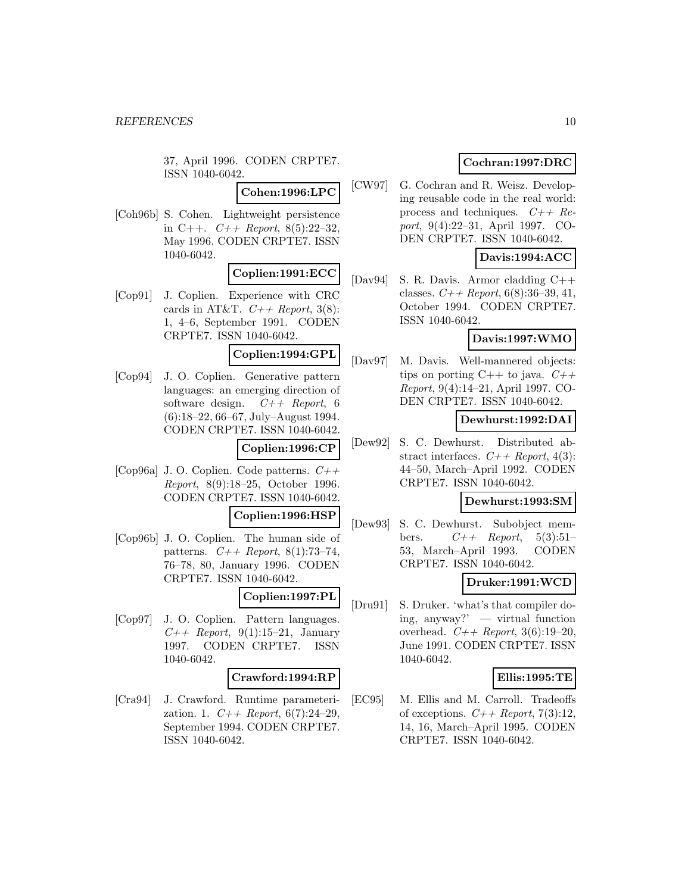37, April 1996. CODEN CRPTE7. ISSN 1040-6042.

**Cohen:1996:LPC**

[Coh96b] S. Cohen. Lightweight persistence in C++.  $C++$  Report, 8(5):22-32, May 1996. CODEN CRPTE7. ISSN 1040-6042.

### **Coplien:1991:ECC**

[Cop91] J. Coplien. Experience with CRC cards in AT&T.  $C++$  Report, 3(8): 1, 4–6, September 1991. CODEN CRPTE7. ISSN 1040-6042.

# **Coplien:1994:GPL**

[Cop94] J. O. Coplien. Generative pattern languages: an emerging direction of software design.  $C++$  Report, 6 (6):18–22, 66–67, July–August 1994. CODEN CRPTE7. ISSN 1040-6042.

#### **Coplien:1996:CP**

[Cop96a] J.O. Coplien. Code patterns.  $C++$ Report, 8(9):18–25, October 1996. CODEN CRPTE7. ISSN 1040-6042.

#### **Coplien:1996:HSP**

[Cop96b] J. O. Coplien. The human side of patterns.  $C_{++}$  Report, 8(1):73-74, 76–78, 80, January 1996. CODEN CRPTE7. ISSN 1040-6042.

#### **Coplien:1997:PL**

[Cop97] J. O. Coplien. Pattern languages.  $C_{++}$  Report, 9(1):15–21, January 1997. CODEN CRPTE7. ISSN 1040-6042.

#### **Crawford:1994:RP**

[Cra94] J. Crawford. Runtime parameterization. 1.  $C++$  Report, 6(7):24-29, September 1994. CODEN CRPTE7. ISSN 1040-6042.

# **Cochran:1997:DRC**

[CW97] G. Cochran and R. Weisz. Developing reusable code in the real world: process and techniques.  $C++$  Report, 9(4):22–31, April 1997. CO-DEN CRPTE7. ISSN 1040-6042.

# **Davis:1994:ACC**

[Dav94] S. R. Davis. Armor cladding C++ classes.  $C_{+}$  Report, 6(8):36-39, 41, October 1994. CODEN CRPTE7. ISSN 1040-6042.

### **Davis:1997:WMO**

[Dav97] M. Davis. Well-mannered objects: tips on porting  $C++$  to java.  $C++$ Report, 9(4):14–21, April 1997. CO-DEN CRPTE7. ISSN 1040-6042.

### **Dewhurst:1992:DAI**

[Dew92] S. C. Dewhurst. Distributed abstract interfaces.  $C++$  Report, 4(3): 44–50, March–April 1992. CODEN CRPTE7. ISSN 1040-6042.

# **Dewhurst:1993:SM**

[Dew93] S. C. Dewhurst. Subobject members.  $C++$  Report, 5(3):51-53, March–April 1993. CODEN CRPTE7. ISSN 1040-6042.

# **Druker:1991:WCD**

[Dru91] S. Druker. 'what's that compiler doing, anyway?' — virtual function overhead.  $C_{++}$  Report, 3(6):19-20, June 1991. CODEN CRPTE7. ISSN 1040-6042.

#### **Ellis:1995:TE**

[EC95] M. Ellis and M. Carroll. Tradeoffs of exceptions.  $C++$  Report, 7(3):12, 14, 16, March–April 1995. CODEN CRPTE7. ISSN 1040-6042.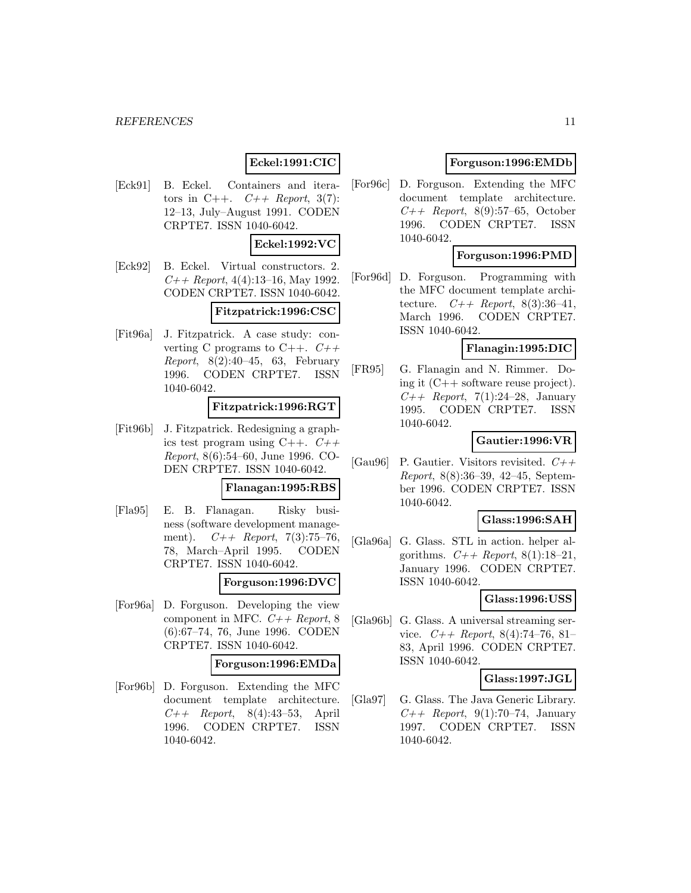# **Eckel:1991:CIC**

[Eck91] B. Eckel. Containers and iterators in C++.  $C++$  Report, 3(7): 12–13, July–August 1991. CODEN CRPTE7. ISSN 1040-6042.

#### **Eckel:1992:VC**

[Eck92] B. Eckel. Virtual constructors. 2.  $C_{++}$  Report, 4(4):13-16, May 1992. CODEN CRPTE7. ISSN 1040-6042.

## **Fitzpatrick:1996:CSC**

[Fit96a] J. Fitzpatrick. A case study: converting C programs to  $C_{++}$ .  $C_{++}$ *Report*,  $8(2):40-45$ , 63, February 1996. CODEN CRPTE7. ISSN 1040-6042.

#### **Fitzpatrick:1996:RGT**

[Fit96b] J. Fitzpatrick. Redesigning a graphics test program using  $C_{++}$ .  $C_{++}$ Report, 8(6):54–60, June 1996. CO-DEN CRPTE7. ISSN 1040-6042.

#### **Flanagan:1995:RBS**

[Fla95] E. B. Flanagan. Risky business (software development management).  $C++$  Report, 7(3):75-76, 78, March–April 1995. CODEN CRPTE7. ISSN 1040-6042.

#### **Forguson:1996:DVC**

[For96a] D. Forguson. Developing the view component in MFC.  $C++$  Report, 8 (6):67–74, 76, June 1996. CODEN CRPTE7. ISSN 1040-6042.

#### **Forguson:1996:EMDa**

[For96b] D. Forguson. Extending the MFC document template architecture.  $C++$  Report, 8(4):43-53, April 1996. CODEN CRPTE7. ISSN 1040-6042.

### **Forguson:1996:EMDb**

[For96c] D. Forguson. Extending the MFC document template architecture.  $C_{++}$  Report, 8(9):57–65, October 1996. CODEN CRPTE7. ISSN 1040-6042.

#### **Forguson:1996:PMD**

[For96d] D. Forguson. Programming with the MFC document template architecture.  $C++$  Report, 8(3):36-41, March 1996. CODEN CRPTE7. ISSN 1040-6042.

# **Flanagin:1995:DIC**

[FR95] G. Flanagin and N. Rimmer. Doing it (C++ software reuse project).  $C_{++}$  Report, 7(1):24-28, January 1995. CODEN CRPTE7. ISSN 1040-6042.

#### **Gautier:1996:VR**

[Gau96] P. Gautier. Visitors revisited.  $C++$ Report, 8(8):36–39, 42–45, September 1996. CODEN CRPTE7. ISSN 1040-6042.

# **Glass:1996:SAH**

[Gla96a] G. Glass. STL in action. helper algorithms.  $C++$  Report, 8(1):18-21, January 1996. CODEN CRPTE7. ISSN 1040-6042.

#### **Glass:1996:USS**

[Gla96b] G. Glass. A universal streaming service.  $C++$  Report, 8(4):74-76, 81-83, April 1996. CODEN CRPTE7. ISSN 1040-6042.

## **Glass:1997:JGL**

[Gla97] G. Glass. The Java Generic Library.  $C_{++}$  Report, 9(1):70–74, January 1997. CODEN CRPTE7. ISSN 1040-6042.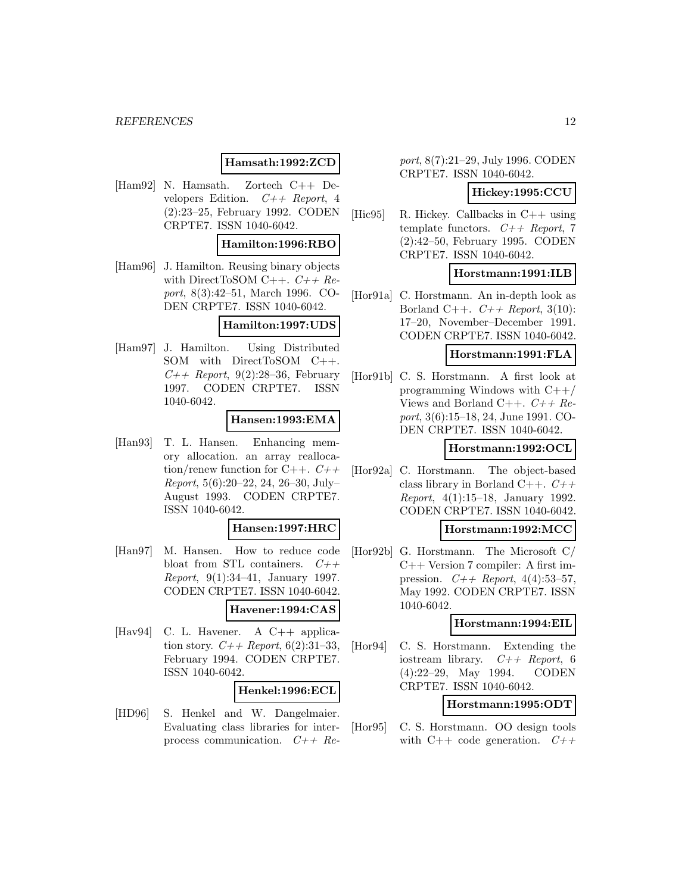#### *REFERENCES* 12

### **Hamsath:1992:ZCD**

[Ham92] N. Hamsath. Zortech C++ Developers Edition.  $C++$  Report, 4 (2):23–25, February 1992. CODEN CRPTE7. ISSN 1040-6042.

#### **Hamilton:1996:RBO**

[Ham96] J. Hamilton. Reusing binary objects with DirectToSOM C++.  $C++$   $Re$ port, 8(3):42–51, March 1996. CO-DEN CRPTE7. ISSN 1040-6042.

#### **Hamilton:1997:UDS**

[Ham97] J. Hamilton. Using Distributed SOM with DirectToSOM C++.  $C_{++}$  Report, 9(2):28–36, February 1997. CODEN CRPTE7. ISSN 1040-6042.

#### **Hansen:1993:EMA**

[Han93] T. L. Hansen. Enhancing memory allocation. an array reallocation/renew function for  $C++$ .  $C++$ Report, 5(6):20–22, 24, 26–30, July– August 1993. CODEN CRPTE7. ISSN 1040-6042.

#### **Hansen:1997:HRC**

[Han97] M. Hansen. How to reduce code bloat from STL containers.  $C++$ Report, 9(1):34–41, January 1997. CODEN CRPTE7. ISSN 1040-6042.

# **Havener:1994:CAS**

[Hav94] C. L. Havener. A C++ application story.  $C_{++}$  Report, 6(2):31-33, February 1994. CODEN CRPTE7. ISSN 1040-6042.

#### **Henkel:1996:ECL**

[HD96] S. Henkel and W. Dangelmaier. Evaluating class libraries for interprocess communication.  $C++$  Re-

port, 8(7):21–29, July 1996. CODEN CRPTE7. ISSN 1040-6042.

#### **Hickey:1995:CCU**

[Hic95] R. Hickey. Callbacks in C++ using template functors.  $C++$  Report, 7 (2):42–50, February 1995. CODEN CRPTE7. ISSN 1040-6042.

#### **Horstmann:1991:ILB**

[Hor91a] C. Horstmann. An in-depth look as Borland C++.  $C++$  Report, 3(10): 17–20, November–December 1991. CODEN CRPTE7. ISSN 1040-6042.

### **Horstmann:1991:FLA**

[Hor91b] C. S. Horstmann. A first look at programming Windows with C++/ Views and Borland C++.  $C++$   $Re$ port, 3(6):15–18, 24, June 1991. CO-DEN CRPTE7. ISSN 1040-6042.

#### **Horstmann:1992:OCL**

[Hor92a] C. Horstmann. The object-based class library in Borland C++.  $C++$ Report, 4(1):15–18, January 1992. CODEN CRPTE7. ISSN 1040-6042.

### **Horstmann:1992:MCC**

[Hor92b] G. Horstmann. The Microsoft C/ C++ Version 7 compiler: A first impression.  $C++$  Report, 4(4):53-57, May 1992. CODEN CRPTE7. ISSN 1040-6042.

#### **Horstmann:1994:EIL**

[Hor94] C. S. Horstmann. Extending the iostream library.  $C++$  Report, 6 (4):22–29, May 1994. CODEN CRPTE7. ISSN 1040-6042.

#### **Horstmann:1995:ODT**

[Hor95] C. S. Horstmann. OO design tools with C++ code generation.  $C++$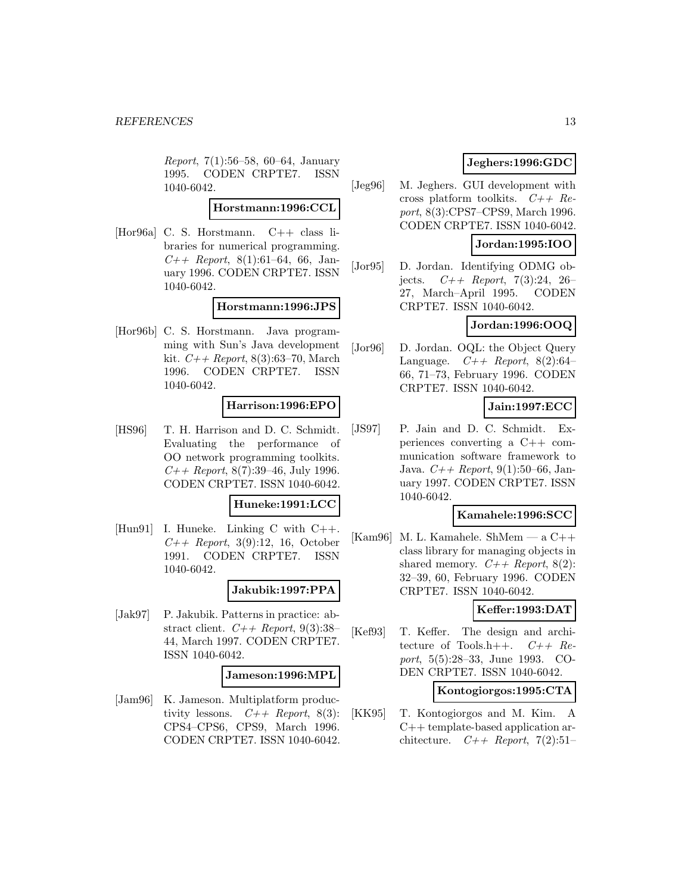Report, 7(1):56–58, 60–64, January 1995. CODEN CRPTE7. ISSN 1040-6042.

## **Horstmann:1996:CCL**

[Hor96a] C. S. Horstmann. C++ class libraries for numerical programming.  $C++$  Report, 8(1):61-64, 66, January 1996. CODEN CRPTE7. ISSN 1040-6042.

#### **Horstmann:1996:JPS**

[Hor96b] C. S. Horstmann. Java programming with Sun's Java development kit.  $C_{+}$  Report, 8(3):63-70, March 1996. CODEN CRPTE7. ISSN 1040-6042.

### **Harrison:1996:EPO**

[HS96] T. H. Harrison and D. C. Schmidt. Evaluating the performance of OO network programming toolkits.  $C++$  Report, 8(7):39–46, July 1996. CODEN CRPTE7. ISSN 1040-6042.

### **Huneke:1991:LCC**

[Hun91] I. Huneke. Linking C with C++.  $C_{++}$  Report, 3(9):12, 16, October 1991. CODEN CRPTE7. ISSN 1040-6042.

# **Jakubik:1997:PPA**

[Jak97] P. Jakubik. Patterns in practice: abstract client.  $C++$  Report, 9(3):38-44, March 1997. CODEN CRPTE7. ISSN 1040-6042.

#### **Jameson:1996:MPL**

[Jam96] K. Jameson. Multiplatform productivity lessons.  $C++$  Report, 8(3): CPS4–CPS6, CPS9, March 1996. CODEN CRPTE7. ISSN 1040-6042.

# **Jeghers:1996:GDC**

[Jeg96] M. Jeghers. GUI development with cross platform toolkits.  $C++$   $Re$ port, 8(3):CPS7–CPS9, March 1996. CODEN CRPTE7. ISSN 1040-6042.

## **Jordan:1995:IOO**

[Jor95] D. Jordan. Identifying ODMG objects.  $C++$  Report, 7(3):24, 26– 27, March–April 1995. CODEN CRPTE7. ISSN 1040-6042.

# **Jordan:1996:OOQ**

[Jor96] D. Jordan. OQL: the Object Query Language.  $C++$  Report, 8(2):64– 66, 71–73, February 1996. CODEN CRPTE7. ISSN 1040-6042.

**Jain:1997:ECC**

[JS97] P. Jain and D. C. Schmidt. Experiences converting a C++ communication software framework to Java.  $C++$  Report, 9(1):50–66, January 1997. CODEN CRPTE7. ISSN 1040-6042.

### **Kamahele:1996:SCC**

[Kam96] M. L. Kamahele. ShMem — a  $C_{++}$ class library for managing objects in shared memory.  $C++$  Report, 8(2): 32–39, 60, February 1996. CODEN CRPTE7. ISSN 1040-6042.

#### **Keffer:1993:DAT**

[Kef93] T. Keffer. The design and architecture of Tools.h++.  $C++$   $Re$ port, 5(5):28–33, June 1993. CO-DEN CRPTE7. ISSN 1040-6042.

## **Kontogiorgos:1995:CTA**

[KK95] T. Kontogiorgos and M. Kim. A C++ template-based application architecture.  $C++$  Report, 7(2):51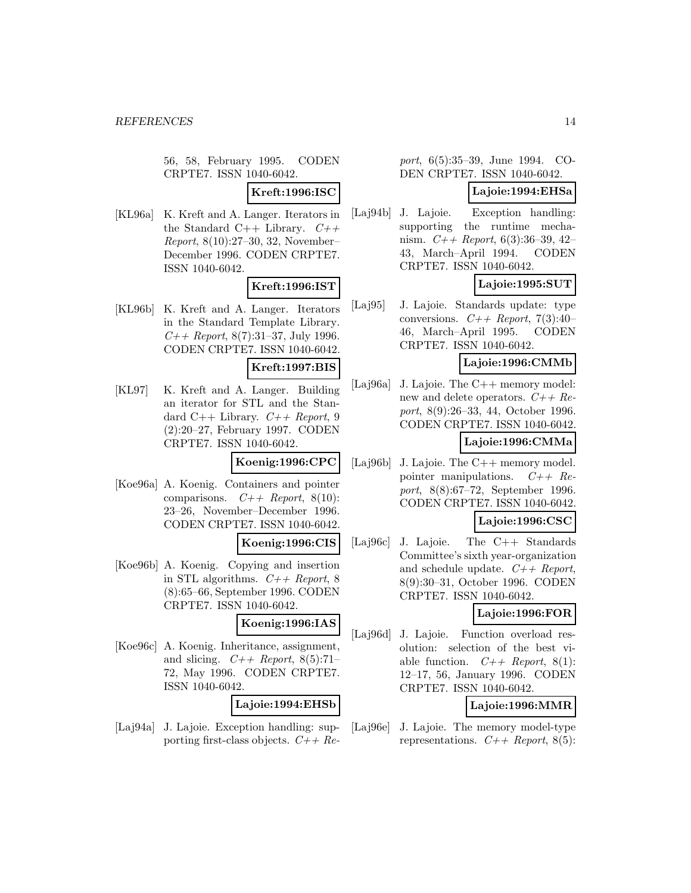56, 58, February 1995. CODEN CRPTE7. ISSN 1040-6042.

**Kreft:1996:ISC**

[KL96a] K. Kreft and A. Langer. Iterators in the Standard C++ Library.  $C++$ Report, 8(10):27–30, 32, November– December 1996. CODEN CRPTE7. ISSN 1040-6042.

### **Kreft:1996:IST**

[KL96b] K. Kreft and A. Langer. Iterators in the Standard Template Library.  $C++$  Report, 8(7):31–37, July 1996. CODEN CRPTE7. ISSN 1040-6042.

### **Kreft:1997:BIS**

[KL97] K. Kreft and A. Langer. Building an iterator for STL and the Standard  $C_{++}$  Library.  $C_{++}$  Report, 9 (2):20–27, February 1997. CODEN CRPTE7. ISSN 1040-6042.

**Koenig:1996:CPC**

[Koe96a] A. Koenig. Containers and pointer comparisons.  $C++$  Report, 8(10): 23–26, November–December 1996. CODEN CRPTE7. ISSN 1040-6042.

#### **Koenig:1996:CIS**

[Koe96b] A. Koenig. Copying and insertion in STL algorithms.  $C++$  Report, 8 (8):65–66, September 1996. CODEN CRPTE7. ISSN 1040-6042.

**Koenig:1996:IAS**

[Koe96c] A. Koenig. Inheritance, assignment, and slicing.  $C++$  Report, 8(5):71– 72, May 1996. CODEN CRPTE7. ISSN 1040-6042.

**Lajoie:1994:EHSb**

[Laj94a] J. Lajoie. Exception handling: supporting first-class objects.  $C++Re-$ 

port, 6(5):35–39, June 1994. CO-DEN CRPTE7. ISSN 1040-6042.

# **Lajoie:1994:EHSa**

[Laj94b] J. Lajoie. Exception handling: supporting the runtime mechanism.  $C++$  Report, 6(3):36-39, 42-43, March–April 1994. CODEN CRPTE7. ISSN 1040-6042.

# **Lajoie:1995:SUT**

[Laj95] J. Lajoie. Standards update: type conversions.  $C++$  Report, 7(3):40– 46, March–April 1995. CODEN CRPTE7. ISSN 1040-6042.

#### **Lajoie:1996:CMMb**

[Laj96a] J. Lajoie. The C++ memory model: new and delete operators.  $C++Re$ port, 8(9):26–33, 44, October 1996. CODEN CRPTE7. ISSN 1040-6042.

## **Lajoie:1996:CMMa**

- [Laj96b] J. Lajoie. The C++ memory model. pointer manipulations.  $C++$   $Re$ port, 8(8):67–72, September 1996. CODEN CRPTE7. ISSN 1040-6042. **Lajoie:1996:CSC**
- [Laj96c] J. Lajoie. The C++ Standards Committee's sixth year-organization and schedule update.  $C++$  Report, 8(9):30–31, October 1996. CODEN CRPTE7. ISSN 1040-6042.

### **Lajoie:1996:FOR**

[Laj96d] J. Lajoie. Function overload resolution: selection of the best viable function.  $C++$  Report, 8(1): 12–17, 56, January 1996. CODEN CRPTE7. ISSN 1040-6042.

# **Lajoie:1996:MMR**

[Laj96e] J. Lajoie. The memory model-type representations.  $C++$  Report, 8(5):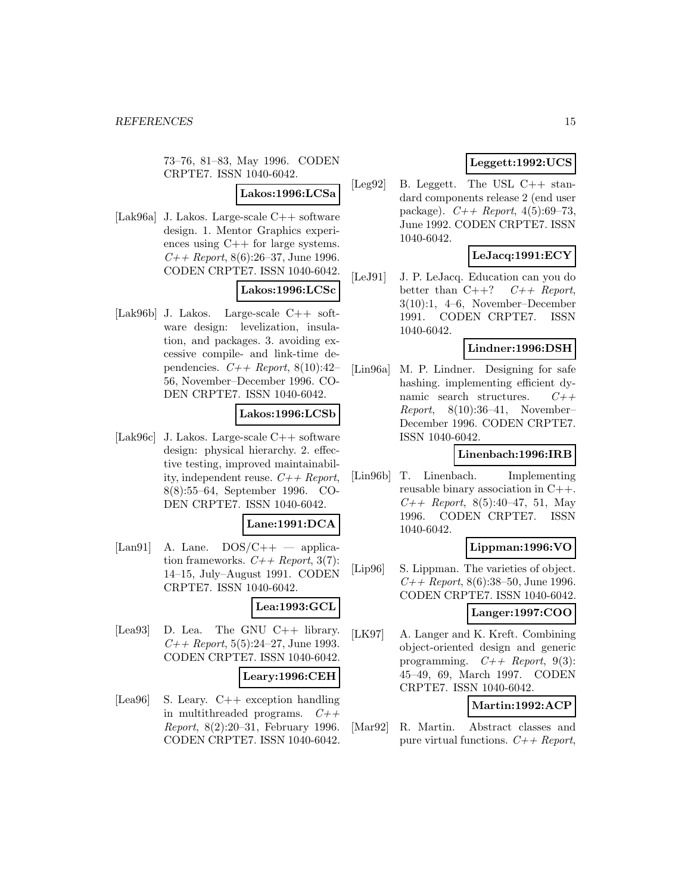73–76, 81–83, May 1996. CODEN CRPTE7. ISSN 1040-6042.

# **Lakos:1996:LCSa**

[Lak96a] J. Lakos. Large-scale C++ software design. 1. Mentor Graphics experiences using C++ for large systems.  $C_{++}$  Report, 8(6):26–37, June 1996. CODEN CRPTE7. ISSN 1040-6042.

# **Lakos:1996:LCSc**

[Lak96b] J. Lakos. Large-scale C++ software design: levelization, insulation, and packages. 3. avoiding excessive compile- and link-time dependencies.  $C++$  Report, 8(10):42-56, November–December 1996. CO-DEN CRPTE7. ISSN 1040-6042.

## **Lakos:1996:LCSb**

[Lak96c] J. Lakos. Large-scale C++ software design: physical hierarchy. 2. effective testing, improved maintainability, independent reuse.  $C++$  Report, 8(8):55–64, September 1996. CO-DEN CRPTE7. ISSN 1040-6042.

#### **Lane:1991:DCA**

[Lan91] A. Lane.  $DOS/C++$  — application frameworks.  $C++$  Report, 3(7): 14–15, July–August 1991. CODEN CRPTE7. ISSN 1040-6042.

#### **Lea:1993:GCL**

[Lea93] D. Lea. The GNU C++ library.  $C++$  Report, 5(5):24–27, June 1993. CODEN CRPTE7. ISSN 1040-6042.

#### **Leary:1996:CEH**

[Lea96] S. Leary. C++ exception handling in multithreaded programs.  $C++$ Report, 8(2):20–31, February 1996. CODEN CRPTE7. ISSN 1040-6042.

# **Leggett:1992:UCS**

[Leg92] B. Leggett. The USL C++ standard components release 2 (end user package).  $C++$  Report, 4(5):69–73, June 1992. CODEN CRPTE7. ISSN 1040-6042.

# **LeJacq:1991:ECY**

[LeJ91] J. P. LeJacq. Education can you do better than  $C++?$   $C++$  Report, 3(10):1, 4–6, November–December 1991. CODEN CRPTE7. ISSN 1040-6042.

# **Lindner:1996:DSH**

[Lin96a] M. P. Lindner. Designing for safe hashing. implementing efficient dynamic search structures.  $C++$  $Report, 8(10):36-41, November-$ December 1996. CODEN CRPTE7. ISSN 1040-6042.

#### **Linenbach:1996:IRB**

[Lin96b] T. Linenbach. Implementing reusable binary association in C++.  $C++$  Report, 8(5):40–47, 51, May 1996. CODEN CRPTE7. ISSN 1040-6042.

### **Lippman:1996:VO**

[Lip96] S. Lippman. The varieties of object.  $C++$  Report, 8(6):38–50, June 1996. CODEN CRPTE7. ISSN 1040-6042.

**Langer:1997:COO**

[LK97] A. Langer and K. Kreft. Combining object-oriented design and generic programming.  $C++$  Report, 9(3): 45–49, 69, March 1997. CODEN CRPTE7. ISSN 1040-6042.

# **Martin:1992:ACP**

[Mar92] R. Martin. Abstract classes and pure virtual functions.  $C++$  Report,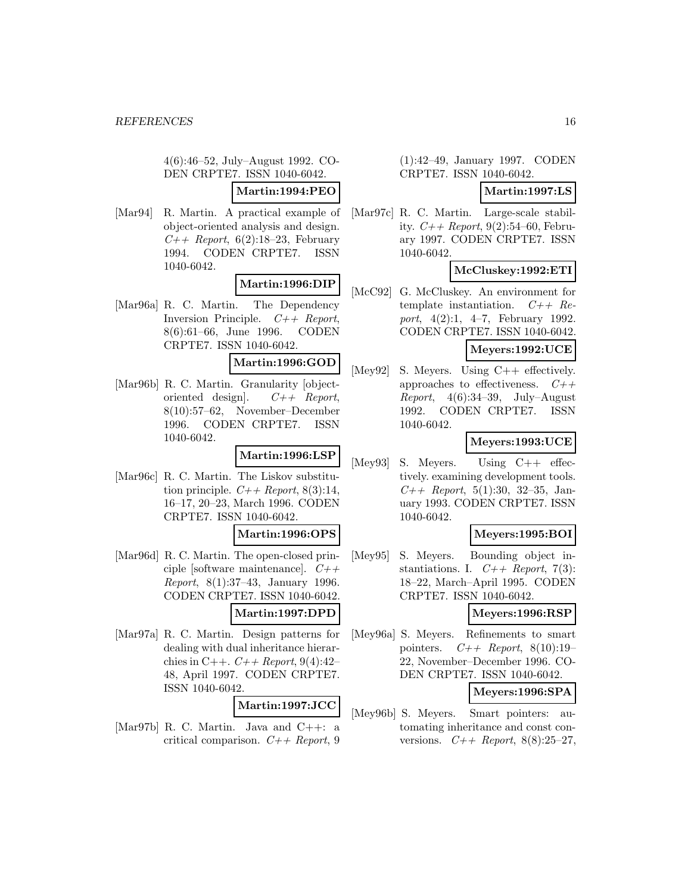4(6):46–52, July–August 1992. CO-DEN CRPTE7. ISSN 1040-6042.

# **Martin:1994:PEO**

[Mar94] R. Martin. A practical example of object-oriented analysis and design.  $C_{++}$  Report, 6(2):18-23, February 1994. CODEN CRPTE7. ISSN 1040-6042.

# **Martin:1996:DIP**

[Mar96a] R. C. Martin. The Dependency Inversion Principle.  $C++$  Report, 8(6):61–66, June 1996. CODEN CRPTE7. ISSN 1040-6042.

#### **Martin:1996:GOD**

[Mar96b] R. C. Martin. Granularity [objectoriented design].  $C++$  Report, 8(10):57–62, November–December 1996. CODEN CRPTE7. ISSN 1040-6042.

#### **Martin:1996:LSP**

[Mar96c] R. C. Martin. The Liskov substitution principle.  $C++$  Report, 8(3):14, 16–17, 20–23, March 1996. CODEN CRPTE7. ISSN 1040-6042.

#### **Martin:1996:OPS**

- [Mar96d] R. C. Martin. The open-closed principle [software maintenance].  $C++$ Report, 8(1):37–43, January 1996. CODEN CRPTE7. ISSN 1040-6042. **Martin:1997:DPD**
- [Mar97a] R. C. Martin. Design patterns for dealing with dual inheritance hierarchies in C++.  $C++$  Report, 9(4):42-48, April 1997. CODEN CRPTE7. ISSN 1040-6042.

### **Martin:1997:JCC**

[Mar97b] R. C. Martin. Java and C++: a critical comparison.  $C++$  Report, 9

#### (1):42–49, January 1997. CODEN CRPTE7. ISSN 1040-6042.

### **Martin:1997:LS**

[Mar97c] R. C. Martin. Large-scale stability.  $C_{++}$  Report, 9(2):54–60, February 1997. CODEN CRPTE7. ISSN 1040-6042.

### **McCluskey:1992:ETI**

[McC92] G. McCluskey. An environment for template instantiation.  $C++$  Report, 4(2):1, 4–7, February 1992. CODEN CRPTE7. ISSN 1040-6042.

#### **Meyers:1992:UCE**

[Mey92] S. Meyers. Using C++ effectively. approaches to effectiveness.  $C++$ *Report*,  $4(6):34-39$ , July–August 1992. CODEN CRPTE7. ISSN 1040-6042.

### **Meyers:1993:UCE**

[Mey93] S. Meyers. Using C++ effectively. examining development tools.  $C++$  Report, 5(1):30, 32-35, January 1993. CODEN CRPTE7. ISSN 1040-6042.

#### **Meyers:1995:BOI**

[Mey95] S. Meyers. Bounding object instantiations. I.  $C++$  Report, 7(3): 18–22, March–April 1995. CODEN CRPTE7. ISSN 1040-6042.

### **Meyers:1996:RSP**

[Mey96a] S. Meyers. Refinements to smart pointers.  $C++$  Report, 8(10):19-22, November–December 1996. CO-DEN CRPTE7. ISSN 1040-6042.

# **Meyers:1996:SPA**

[Mey96b] S. Meyers. Smart pointers: automating inheritance and const conversions.  $C_{++}$  Report, 8(8):25-27,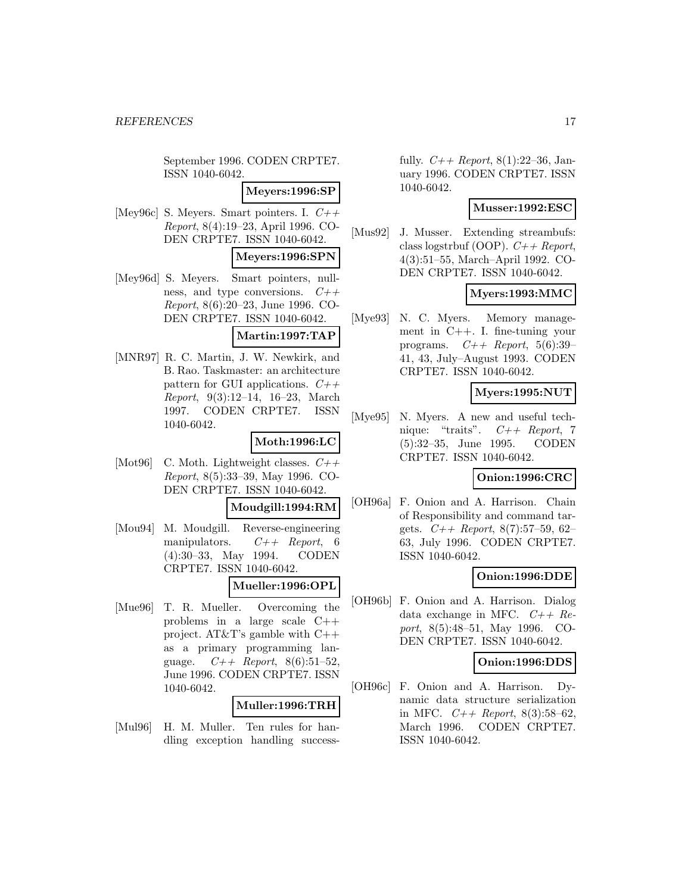September 1996. CODEN CRPTE7. ISSN 1040-6042.

**Meyers:1996:SP**

[Mey96c] S. Meyers. Smart pointers. I.  $C++$ Report, 8(4):19–23, April 1996. CO-DEN CRPTE7. ISSN 1040-6042.

**Meyers:1996:SPN**

[Mey96d] S. Meyers. Smart pointers, nullness, and type conversions.  $C++$ Report, 8(6):20–23, June 1996. CO-DEN CRPTE7. ISSN 1040-6042.

**Martin:1997:TAP**

[MNR97] R. C. Martin, J. W. Newkirk, and B. Rao. Taskmaster: an architecture pattern for GUI applications.  $C++$ Report, 9(3):12–14, 16–23, March 1997. CODEN CRPTE7. ISSN 1040-6042.

# **Moth:1996:LC**

[Mot96] C. Moth. Lightweight classes.  $C++$ Report, 8(5):33–39, May 1996. CO-DEN CRPTE7. ISSN 1040-6042.

**Moudgill:1994:RM**

[Mou94] M. Moudgill. Reverse-engineering manipulators.  $C++$  Report, 6 (4):30–33, May 1994. CODEN CRPTE7. ISSN 1040-6042.

# **Mueller:1996:OPL**

[Mue96] T. R. Mueller. Overcoming the problems in a large scale C++ project. AT&T's gamble with C++ as a primary programming language.  $C_{++}$  Report, 8(6):51-52, June 1996. CODEN CRPTE7. ISSN 1040-6042.

### **Muller:1996:TRH**

[Mul96] H. M. Muller. Ten rules for handling exception handling successfully.  $C++$  Report, 8(1):22–36, January 1996. CODEN CRPTE7. ISSN 1040-6042.

## **Musser:1992:ESC**

[Mus92] J. Musser. Extending streambufs: class logstrbuf (OOP).  $C++$  Report, 4(3):51–55, March–April 1992. CO-DEN CRPTE7. ISSN 1040-6042.

# **Myers:1993:MMC**

[Mye93] N. C. Myers. Memory management in C++. I. fine-tuning your programs.  $C++$  Report, 5(6):39-41, 43, July–August 1993. CODEN CRPTE7. ISSN 1040-6042.

### **Myers:1995:NUT**

[Mye95] N. Myers. A new and useful technique: "traits". C++ Report, 7 (5):32–35, June 1995. CODEN CRPTE7. ISSN 1040-6042.

# **Onion:1996:CRC**

[OH96a] F. Onion and A. Harrison. Chain of Responsibility and command targets.  $C++$  Report, 8(7):57-59, 62-63, July 1996. CODEN CRPTE7. ISSN 1040-6042.

# **Onion:1996:DDE**

[OH96b] F. Onion and A. Harrison. Dialog data exchange in MFC.  $C++$   $Re$ port, 8(5):48–51, May 1996. CO-DEN CRPTE7. ISSN 1040-6042.

#### **Onion:1996:DDS**

[OH96c] F. Onion and A. Harrison. Dynamic data structure serialization in MFC.  $C++$  Report, 8(3):58-62, March 1996. CODEN CRPTE7. ISSN 1040-6042.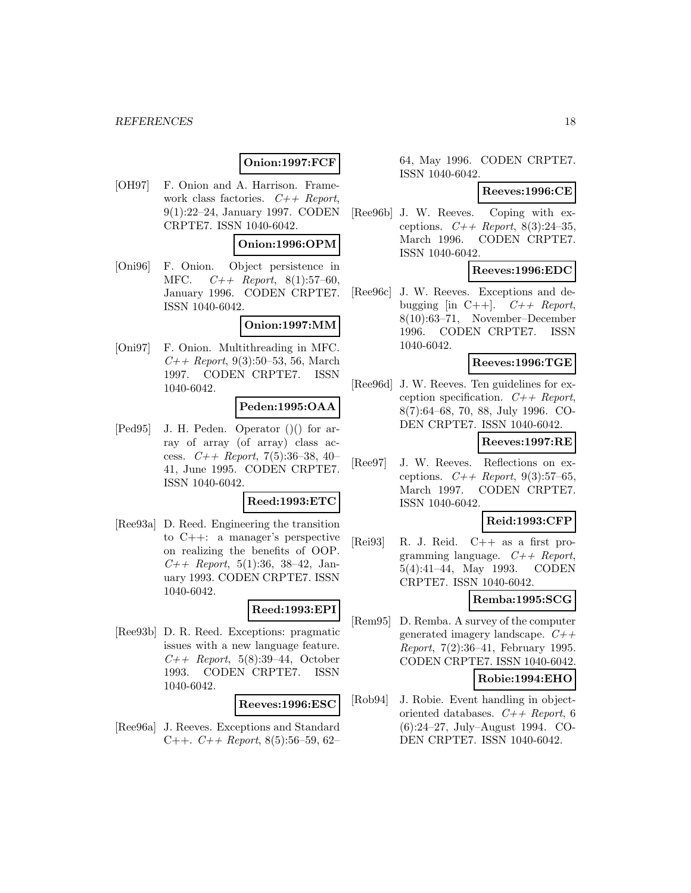# **Onion:1997:FCF**

[OH97] F. Onion and A. Harrison. Framework class factories.  $C++$  Report, 9(1):22–24, January 1997. CODEN CRPTE7. ISSN 1040-6042.

#### **Onion:1996:OPM**

[Oni96] F. Onion. Object persistence in MFC.  $C++$  Report, 8(1):57-60, January 1996. CODEN CRPTE7. ISSN 1040-6042.

### **Onion:1997:MM**

[Oni97] F. Onion. Multithreading in MFC.  $C++$  Report, 9(3):50–53, 56, March 1997. CODEN CRPTE7. ISSN 1040-6042.

#### **Peden:1995:OAA**

[Ped95] J. H. Peden. Operator ()() for array of array (of array) class access.  $C++$  Report, 7(5):36-38, 40-41, June 1995. CODEN CRPTE7. ISSN 1040-6042.

### **Reed:1993:ETC**

[Ree93a] D. Reed. Engineering the transition to C++: a manager's perspective on realizing the benefits of OOP.  $C++$  Report, 5(1):36, 38-42, January 1993. CODEN CRPTE7. ISSN 1040-6042.

#### **Reed:1993:EPI**

[Ree93b] D. R. Reed. Exceptions: pragmatic issues with a new language feature.  $C_{++}$  Report, 5(8):39-44, October 1993. CODEN CRPTE7. ISSN 1040-6042.

#### **Reeves:1996:ESC**

[Ree96a] J. Reeves. Exceptions and Standard C++.  $C++$  Report, 8(5):56–59, 62–

64, May 1996. CODEN CRPTE7. ISSN 1040-6042.

#### **Reeves:1996:CE**

[Ree96b] J. W. Reeves. Coping with exceptions.  $C_{+}$  Report, 8(3):24-35, March 1996. CODEN CRPTE7. ISSN 1040-6042.

### **Reeves:1996:EDC**

[Ree96c] J. W. Reeves. Exceptions and debugging [in C++].  $C++$  Report, 8(10):63–71, November–December 1996. CODEN CRPTE7. ISSN 1040-6042.

#### **Reeves:1996:TGE**

[Ree96d] J. W. Reeves. Ten guidelines for exception specification.  $C++$  Report, 8(7):64–68, 70, 88, July 1996. CO-DEN CRPTE7. ISSN 1040-6042.

#### **Reeves:1997:RE**

[Ree97] J. W. Reeves. Reflections on exceptions.  $C++$  Report, 9(3):57-65, March 1997. CODEN CRPTE7. ISSN 1040-6042.

# **Reid:1993:CFP**

[Rei93] R. J. Reid. C++ as a first programming language.  $C++$  Report, 5(4):41–44, May 1993. CODEN CRPTE7. ISSN 1040-6042.

#### **Remba:1995:SCG**

[Rem95] D. Remba. A survey of the computer generated imagery landscape.  $C_{++}$ Report, 7(2):36–41, February 1995. CODEN CRPTE7. ISSN 1040-6042.

#### **Robie:1994:EHO**

[Rob94] J. Robie. Event handling in objectoriented databases.  $C++$  Report, 6 (6):24–27, July–August 1994. CO-DEN CRPTE7. ISSN 1040-6042.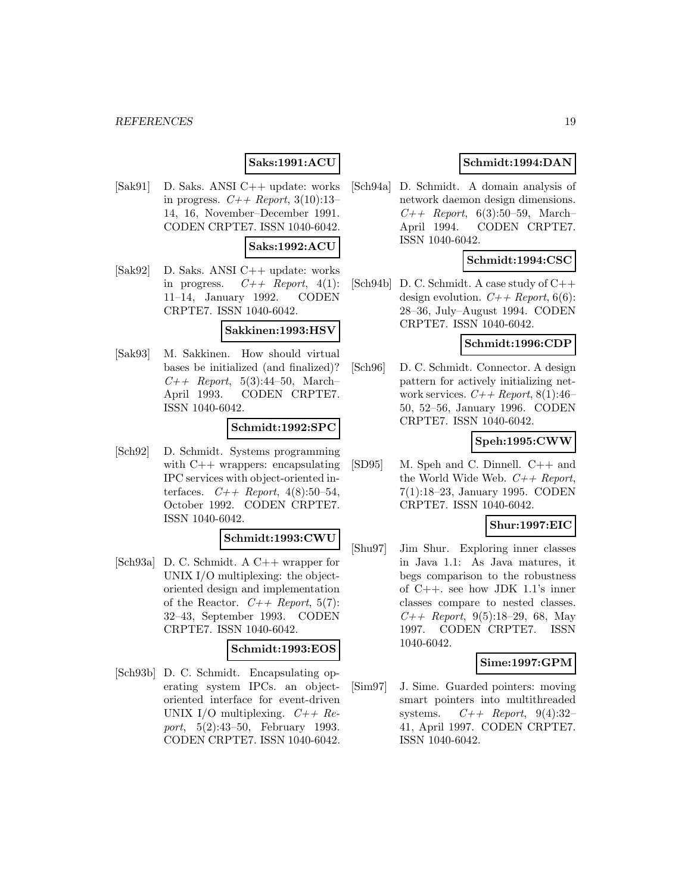#### *REFERENCES* 19

# **Saks:1991:ACU**

[Sak91] D. Saks. ANSI C++ update: works in progress.  $C++$  Report, 3(10):13-14, 16, November–December 1991. CODEN CRPTE7. ISSN 1040-6042.

#### **Saks:1992:ACU**

[Sak92] D. Saks. ANSI C++ update: works in progress.  $C++$  Report, 4(1): 11–14, January 1992. CODEN CRPTE7. ISSN 1040-6042.

#### **Sakkinen:1993:HSV**

[Sak93] M. Sakkinen. How should virtual bases be initialized (and finalized)?  $C_{++}$  Report, 5(3):44-50, March-April 1993. CODEN CRPTE7. ISSN 1040-6042.

## **Schmidt:1992:SPC**

[Sch92] D. Schmidt. Systems programming with C++ wrappers: encapsulating IPC services with object-oriented interfaces.  $C++$  Report, 4(8):50-54, October 1992. CODEN CRPTE7. ISSN 1040-6042.

# **Schmidt:1993:CWU**

[Sch93a] D. C. Schmidt. A C++ wrapper for UNIX I/O multiplexing: the objectoriented design and implementation of the Reactor.  $C++$  Report, 5(7): 32–43, September 1993. CODEN CRPTE7. ISSN 1040-6042.

#### **Schmidt:1993:EOS**

[Sch93b] D. C. Schmidt. Encapsulating operating system IPCs. an objectoriented interface for event-driven UNIX I/O multiplexing.  $C++$  Report, 5(2):43–50, February 1993. CODEN CRPTE7. ISSN 1040-6042.

## **Schmidt:1994:DAN**

[Sch94a] D. Schmidt. A domain analysis of network daemon design dimensions.  $C_{++}$  Report, 6(3):50–59, March– April 1994. CODEN CRPTE7. ISSN 1040-6042.

# **Schmidt:1994:CSC**

[Sch94b] D. C. Schmidt. A case study of C++ design evolution.  $C++$  Report, 6(6): 28–36, July–August 1994. CODEN CRPTE7. ISSN 1040-6042.

#### **Schmidt:1996:CDP**

[Sch96] D. C. Schmidt. Connector. A design pattern for actively initializing network services.  $C++$  Report, 8(1):46– 50, 52–56, January 1996. CODEN CRPTE7. ISSN 1040-6042.

## **Speh:1995:CWW**

[SD95] M. Speh and C. Dinnell. C++ and the World Wide Web.  $C++$  Report, 7(1):18–23, January 1995. CODEN CRPTE7. ISSN 1040-6042.

#### **Shur:1997:EIC**

[Shu97] Jim Shur. Exploring inner classes in Java 1.1: As Java matures, it begs comparison to the robustness of C++. see how JDK 1.1's inner classes compare to nested classes.  $C++$  Report, 9(5):18–29, 68, May 1997. CODEN CRPTE7. ISSN 1040-6042.

#### **Sime:1997:GPM**

[Sim97] J. Sime. Guarded pointers: moving smart pointers into multithreaded systems.  $C++$  Report, 9(4):32-41, April 1997. CODEN CRPTE7. ISSN 1040-6042.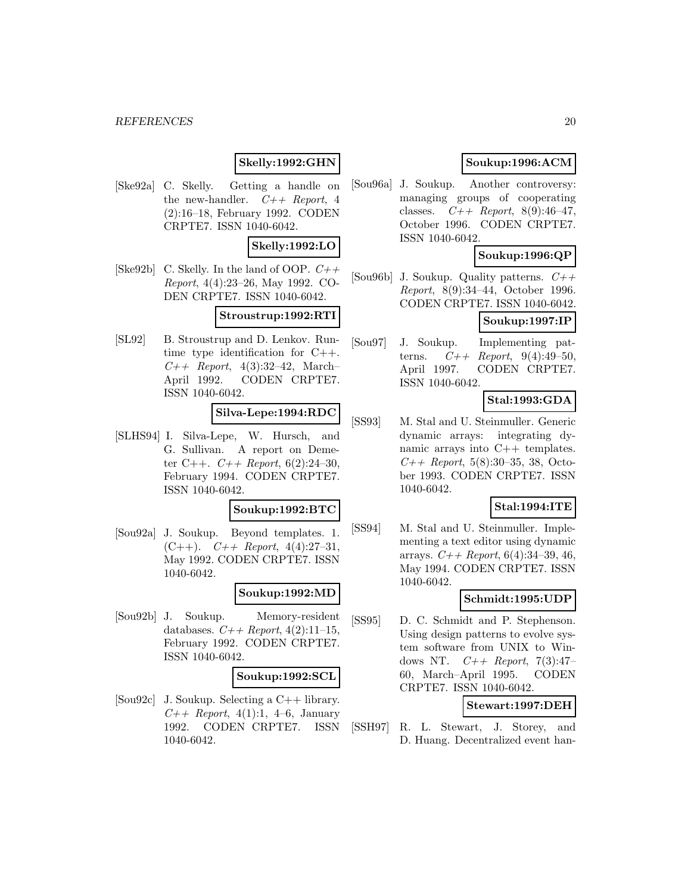#### *REFERENCES* 20

# **Skelly:1992:GHN**

[Ske92a] C. Skelly. Getting a handle on the new-handler.  $C++$  Report, 4 (2):16–18, February 1992. CODEN CRPTE7. ISSN 1040-6042.

## **Skelly:1992:LO**

[Ske92b] C. Skelly. In the land of OOP.  $C++$ Report, 4(4):23–26, May 1992. CO-DEN CRPTE7. ISSN 1040-6042.

### **Stroustrup:1992:RTI**

[SL92] B. Stroustrup and D. Lenkov. Runtime type identification for C++.  $C_{++}$  Report, 4(3):32-42, March-April 1992. CODEN CRPTE7. ISSN 1040-6042.

# **Silva-Lepe:1994:RDC**

[SLHS94] I. Silva-Lepe, W. Hursch, and G. Sullivan. A report on Demeter C++.  $C++$  Report, 6(2):24-30, February 1994. CODEN CRPTE7. ISSN 1040-6042.

#### **Soukup:1992:BTC**

[Sou92a] J. Soukup. Beyond templates. 1.  $(C++)$ .  $C++$  Report, 4(4):27-31, May 1992. CODEN CRPTE7. ISSN 1040-6042.

# **Soukup:1992:MD**

[Sou92b] J. Soukup. Memory-resident databases.  $C_{+}$  Report, 4(2):11-15, February 1992. CODEN CRPTE7. ISSN 1040-6042.

#### **Soukup:1992:SCL**

[Sou92c] J. Soukup. Selecting a C++ library.  $C_{++}$  Report, 4(1):1, 4–6, January 1992. CODEN CRPTE7. ISSN 1040-6042.

# **Soukup:1996:ACM**

[Sou96a] J. Soukup. Another controversy: managing groups of cooperating classes.  $C++$  Report, 8(9):46-47, October 1996. CODEN CRPTE7. ISSN 1040-6042.

# **Soukup:1996:QP**

[Sou96b] J. Soukup. Quality patterns.  $C++$ Report, 8(9):34–44, October 1996. CODEN CRPTE7. ISSN 1040-6042.

# **Soukup:1997:IP**

[Sou97] J. Soukup. Implementing patterns.  $C++$  Report, 9(4):49-50, April 1997. CODEN CRPTE7. ISSN 1040-6042.

# **Stal:1993:GDA**

[SS93] M. Stal and U. Steinmuller. Generic dynamic arrays: integrating dynamic arrays into C++ templates.  $C++$  Report, 5(8):30–35, 38, October 1993. CODEN CRPTE7. ISSN 1040-6042.

### **Stal:1994:ITE**

[SS94] M. Stal and U. Steinmuller. Implementing a text editor using dynamic arrays.  $C_{+}$  Report, 6(4):34-39, 46, May 1994. CODEN CRPTE7. ISSN 1040-6042.

### **Schmidt:1995:UDP**

[SS95] D. C. Schmidt and P. Stephenson. Using design patterns to evolve system software from UNIX to Windows NT.  $C_{++}$  Report, 7(3):47-60, March–April 1995. CODEN CRPTE7. ISSN 1040-6042.

# **Stewart:1997:DEH**

[SSH97] R. L. Stewart, J. Storey, and D. Huang. Decentralized event han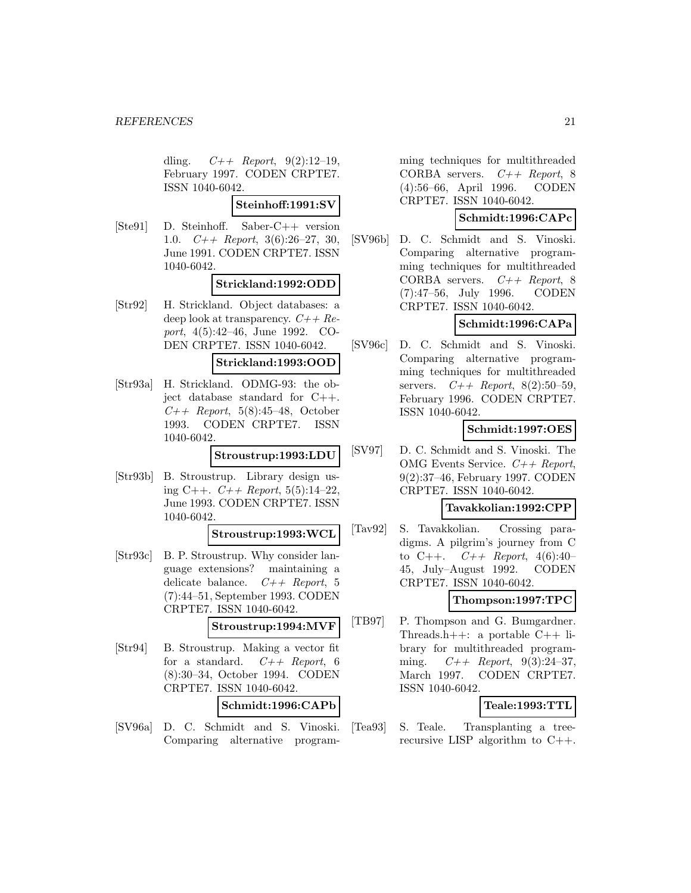dling.  $C++$  Report, 9(2):12-19, February 1997. CODEN CRPTE7. ISSN 1040-6042.

**Steinhoff:1991:SV**

[Ste91] D. Steinhoff. Saber-C++ version 1.0.  $C++$  Report, 3(6):26–27, 30, June 1991. CODEN CRPTE7. ISSN 1040-6042.

#### **Strickland:1992:ODD**

[Str92] H. Strickland. Object databases: a deep look at transparency.  $C++Re$ port, 4(5):42–46, June 1992. CO-DEN CRPTE7. ISSN 1040-6042.

#### **Strickland:1993:OOD**

[Str93a] H. Strickland. ODMG-93: the object database standard for C++.  $C_{++}$  Report, 5(8):45-48, October 1993. CODEN CRPTE7. ISSN 1040-6042.

#### **Stroustrup:1993:LDU**

[Str93b] B. Stroustrup. Library design using C++.  $C++$  Report, 5(5):14-22, June 1993. CODEN CRPTE7. ISSN 1040-6042.

#### **Stroustrup:1993:WCL**

[Str93c] B. P. Stroustrup. Why consider language extensions? maintaining a delicate balance.  $C++$  Report, 5 (7):44–51, September 1993. CODEN CRPTE7. ISSN 1040-6042.

# **Stroustrup:1994:MVF**

[Str94] B. Stroustrup. Making a vector fit for a standard.  $C++$  Report, 6 (8):30–34, October 1994. CODEN CRPTE7. ISSN 1040-6042.

### **Schmidt:1996:CAPb**

[SV96a] D. C. Schmidt and S. Vinoski. Comparing alternative program-

ming techniques for multithreaded CORBA servers.  $C++$  Report, 8 (4):56–66, April 1996. CODEN CRPTE7. ISSN 1040-6042.

### **Schmidt:1996:CAPc**

[SV96b] D. C. Schmidt and S. Vinoski. Comparing alternative programming techniques for multithreaded CORBA servers.  $C++$  Report, 8 (7):47–56, July 1996. CODEN CRPTE7. ISSN 1040-6042.

### **Schmidt:1996:CAPa**

[SV96c] D. C. Schmidt and S. Vinoski. Comparing alternative programming techniques for multithreaded servers.  $C++$  Report, 8(2):50-59, February 1996. CODEN CRPTE7. ISSN 1040-6042.

### **Schmidt:1997:OES**

[SV97] D. C. Schmidt and S. Vinoski. The OMG Events Service.  $C++$  Report, 9(2):37–46, February 1997. CODEN CRPTE7. ISSN 1040-6042.

### **Tavakkolian:1992:CPP**

[Tav92] S. Tavakkolian. Crossing paradigms. A pilgrim's journey from C to C++.  $C++$  Report, 4(6):40-45, July–August 1992. CODEN CRPTE7. ISSN 1040-6042.

#### **Thompson:1997:TPC**

[TB97] P. Thompson and G. Bumgardner. Threads.h++: a portable  $C++$  library for multithreaded programming.  $C++$  Report, 9(3):24-37, March 1997. CODEN CRPTE7. ISSN 1040-6042.

### **Teale:1993:TTL**

[Tea93] S. Teale. Transplanting a treerecursive LISP algorithm to C++.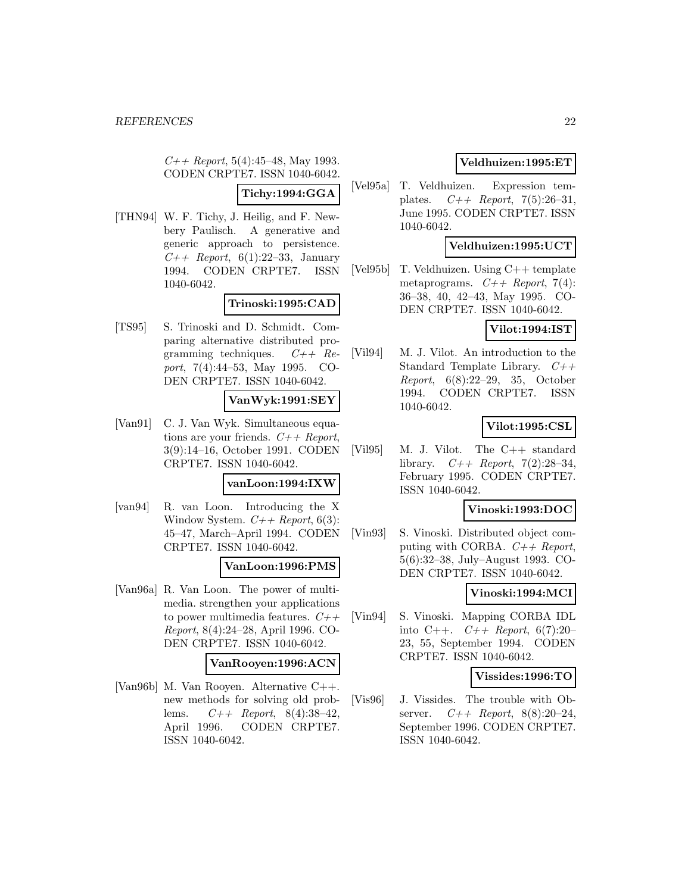$C_{++}$  Report, 5(4):45–48, May 1993. CODEN CRPTE7. ISSN 1040-6042.

### **Tichy:1994:GGA**

[THN94] W. F. Tichy, J. Heilig, and F. Newbery Paulisch. A generative and generic approach to persistence.  $C_{++}$  Report, 6(1):22–33, January 1994. CODEN CRPTE7. ISSN 1040-6042.

#### **Trinoski:1995:CAD**

[TS95] S. Trinoski and D. Schmidt. Comparing alternative distributed programming techniques.  $C++$   $Re$ port, 7(4):44–53, May 1995. CO-DEN CRPTE7. ISSN 1040-6042.

#### **VanWyk:1991:SEY**

[Van91] C. J. Van Wyk. Simultaneous equations are your friends.  $C++$  Report, 3(9):14–16, October 1991. CODEN CRPTE7. ISSN 1040-6042.

#### **vanLoon:1994:IXW**

[van94] R. van Loon. Introducing the X Window System.  $C++$  Report, 6(3): 45–47, March–April 1994. CODEN CRPTE7. ISSN 1040-6042.

#### **VanLoon:1996:PMS**

[Van96a] R. Van Loon. The power of multimedia. strengthen your applications to power multimedia features.  $C++$ Report, 8(4):24–28, April 1996. CO-DEN CRPTE7. ISSN 1040-6042.

#### **VanRooyen:1996:ACN**

[Van96b] M. Van Rooyen. Alternative C++. new methods for solving old problems.  $C++$  Report, 8(4):38-42, April 1996. CODEN CRPTE7. ISSN 1040-6042.

## **Veldhuizen:1995:ET**

[Vel95a] T. Veldhuizen. Expression templates.  $C++$  Report, 7(5):26-31, June 1995. CODEN CRPTE7. ISSN 1040-6042.

# **Veldhuizen:1995:UCT**

[Vel95b] T. Veldhuizen. Using C++ template metaprograms.  $C++$  Report, 7(4): 36–38, 40, 42–43, May 1995. CO-DEN CRPTE7. ISSN 1040-6042.

### **Vilot:1994:IST**

[Vil94] M. J. Vilot. An introduction to the Standard Template Library.  $C++$ Report, 6(8):22–29, 35, October 1994. CODEN CRPTE7. ISSN 1040-6042.

# **Vilot:1995:CSL**

[Vil95] M. J. Vilot. The C++ standard library.  $C++$  Report, 7(2):28-34, February 1995. CODEN CRPTE7. ISSN 1040-6042.

### **Vinoski:1993:DOC**

[Vin93] S. Vinoski. Distributed object computing with CORBA.  $C++$  Report, 5(6):32–38, July–August 1993. CO-DEN CRPTE7. ISSN 1040-6042.

# **Vinoski:1994:MCI**

[Vin94] S. Vinoski. Mapping CORBA IDL into C++.  $C++$  Report, 6(7):20-23, 55, September 1994. CODEN CRPTE7. ISSN 1040-6042.

### **Vissides:1996:TO**

[Vis96] J. Vissides. The trouble with Observer.  $C++$  Report, 8(8):20-24, September 1996. CODEN CRPTE7. ISSN 1040-6042.